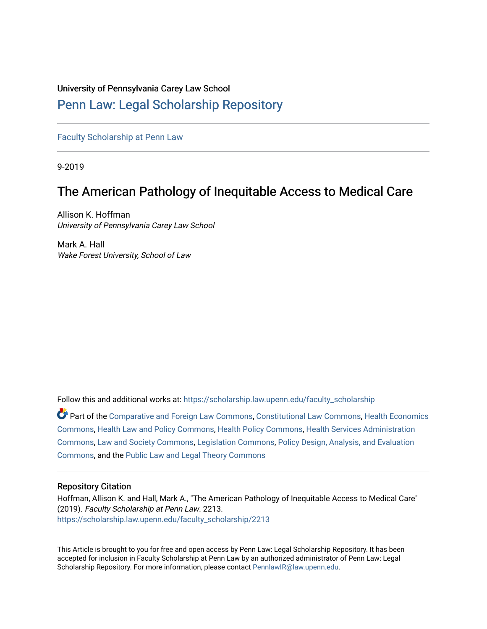#### University of Pennsylvania Carey Law School

# [Penn Law: Legal Scholarship Repository](https://scholarship.law.upenn.edu/)

[Faculty Scholarship at Penn Law](https://scholarship.law.upenn.edu/faculty_scholarship)

9-2019

# The American Pathology of Inequitable Access to Medical Care

Allison K. Hoffman University of Pennsylvania Carey Law School

Mark A. Hall Wake Forest University, School of Law

Follow this and additional works at: [https://scholarship.law.upenn.edu/faculty\\_scholarship](https://scholarship.law.upenn.edu/faculty_scholarship?utm_source=scholarship.law.upenn.edu%2Ffaculty_scholarship%2F2213&utm_medium=PDF&utm_campaign=PDFCoverPages) 

Part of the [Comparative and Foreign Law Commons,](http://network.bepress.com/hgg/discipline/836?utm_source=scholarship.law.upenn.edu%2Ffaculty_scholarship%2F2213&utm_medium=PDF&utm_campaign=PDFCoverPages) [Constitutional Law Commons,](http://network.bepress.com/hgg/discipline/589?utm_source=scholarship.law.upenn.edu%2Ffaculty_scholarship%2F2213&utm_medium=PDF&utm_campaign=PDFCoverPages) [Health Economics](http://network.bepress.com/hgg/discipline/1085?utm_source=scholarship.law.upenn.edu%2Ffaculty_scholarship%2F2213&utm_medium=PDF&utm_campaign=PDFCoverPages) [Commons](http://network.bepress.com/hgg/discipline/1085?utm_source=scholarship.law.upenn.edu%2Ffaculty_scholarship%2F2213&utm_medium=PDF&utm_campaign=PDFCoverPages), [Health Law and Policy Commons](http://network.bepress.com/hgg/discipline/901?utm_source=scholarship.law.upenn.edu%2Ffaculty_scholarship%2F2213&utm_medium=PDF&utm_campaign=PDFCoverPages), [Health Policy Commons,](http://network.bepress.com/hgg/discipline/395?utm_source=scholarship.law.upenn.edu%2Ffaculty_scholarship%2F2213&utm_medium=PDF&utm_campaign=PDFCoverPages) [Health Services Administration](http://network.bepress.com/hgg/discipline/747?utm_source=scholarship.law.upenn.edu%2Ffaculty_scholarship%2F2213&utm_medium=PDF&utm_campaign=PDFCoverPages) [Commons](http://network.bepress.com/hgg/discipline/747?utm_source=scholarship.law.upenn.edu%2Ffaculty_scholarship%2F2213&utm_medium=PDF&utm_campaign=PDFCoverPages), [Law and Society Commons,](http://network.bepress.com/hgg/discipline/853?utm_source=scholarship.law.upenn.edu%2Ffaculty_scholarship%2F2213&utm_medium=PDF&utm_campaign=PDFCoverPages) [Legislation Commons](http://network.bepress.com/hgg/discipline/859?utm_source=scholarship.law.upenn.edu%2Ffaculty_scholarship%2F2213&utm_medium=PDF&utm_campaign=PDFCoverPages), [Policy Design, Analysis, and Evaluation](http://network.bepress.com/hgg/discipline/1032?utm_source=scholarship.law.upenn.edu%2Ffaculty_scholarship%2F2213&utm_medium=PDF&utm_campaign=PDFCoverPages)  [Commons](http://network.bepress.com/hgg/discipline/1032?utm_source=scholarship.law.upenn.edu%2Ffaculty_scholarship%2F2213&utm_medium=PDF&utm_campaign=PDFCoverPages), and the [Public Law and Legal Theory Commons](http://network.bepress.com/hgg/discipline/871?utm_source=scholarship.law.upenn.edu%2Ffaculty_scholarship%2F2213&utm_medium=PDF&utm_campaign=PDFCoverPages) 

#### Repository Citation

Hoffman, Allison K. and Hall, Mark A., "The American Pathology of Inequitable Access to Medical Care" (2019). Faculty Scholarship at Penn Law. 2213. [https://scholarship.law.upenn.edu/faculty\\_scholarship/2213](https://scholarship.law.upenn.edu/faculty_scholarship/2213?utm_source=scholarship.law.upenn.edu%2Ffaculty_scholarship%2F2213&utm_medium=PDF&utm_campaign=PDFCoverPages)

This Article is brought to you for free and open access by Penn Law: Legal Scholarship Repository. It has been accepted for inclusion in Faculty Scholarship at Penn Law by an authorized administrator of Penn Law: Legal Scholarship Repository. For more information, please contact [PennlawIR@law.upenn.edu.](mailto:PennlawIR@law.upenn.edu)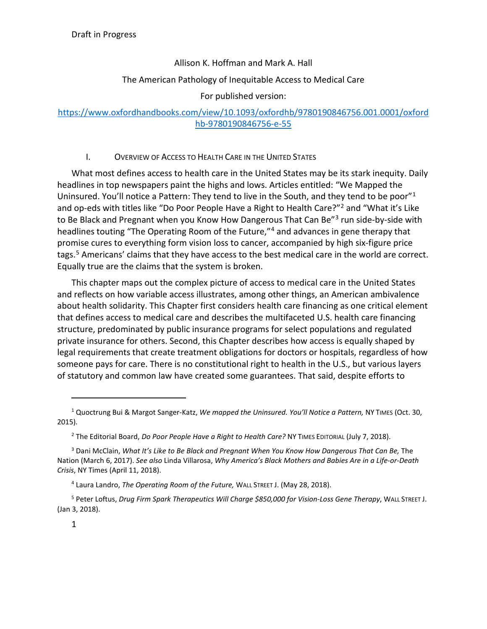## Allison K. Hoffman and Mark A. Hall

## The American Pathology of Inequitable Access to Medical Care

## For published version:

# [https://www.oxfordhandbooks.com/view/10.1093/oxfordhb/9780190846756.001.0001/oxford](https://www.oxfordhandbooks.com/view/10.1093/oxfordhb/9780190846756.001.0001/oxfordhb-9780190846756-e-55) [hb-9780190846756-e-55](https://www.oxfordhandbooks.com/view/10.1093/oxfordhb/9780190846756.001.0001/oxfordhb-9780190846756-e-55)

# I. OVERVIEW OF ACCESS TO HEALTH CARE IN THE UNITED STATES

What most defines access to health care in the United States may be its stark inequity. Daily headlines in top newspapers paint the highs and lows. Articles entitled: "We Mapped the Uninsured. You'll notice a Pattern: They tend to live in the South, and they tend to be poor"<sup>[1](#page-1-0)</sup> and op-eds with titles like "Do Poor People Have a Right to Health Care?"<sup>[2](#page-1-1)</sup> and "What it's Like to Be Black and Pregnant when you Know How Dangerous That Can Be"<sup>[3](#page-1-2)</sup> run side-by-side with headlines touting "The Operating Room of the Future,"<sup>[4](#page-1-3)</sup> and advances in gene therapy that promise cures to everything form vision loss to cancer, accompanied by high six-figure price tags.[5](#page-1-4) Americans' claims that they have access to the best medical care in the world are correct. Equally true are the claims that the system is broken.

This chapter maps out the complex picture of access to medical care in the United States and reflects on how variable access illustrates, among other things, an American ambivalence about health solidarity. This Chapter first considers health care financing as one critical element that defines access to medical care and describes the multifaceted U.S. health care financing structure, predominated by public insurance programs for select populations and regulated private insurance for others. Second, this Chapter describes how access is equally shaped by legal requirements that create treatment obligations for doctors or hospitals, regardless of how someone pays for care. There is no constitutional right to health in the U.S., but various layers of statutory and common law have created some guarantees. That said, despite efforts to

<span id="page-1-0"></span><sup>1</sup> Quoctrung Bui & Margot Sanger-Katz, *We mapped the Uninsured. You'll Notice a Pattern,* NY TIMES (Oct. 30, 2015).

<sup>2</sup> The Editorial Board, *Do Poor People Have a Right to Health Care?* NY TIMES EDITORIAL (July 7, 2018).

<span id="page-1-2"></span><span id="page-1-1"></span><sup>&</sup>lt;sup>3</sup> Dani McClain, *What It's Like to Be Black and Pregnant When You Know How Dangerous That Can Be, The* Nation (March 6, 2017). *See also* Linda Villarosa, *Why America's Black Mothers and Babies Are in a Life-or-Death Crisis*, NY Times (April 11, 2018).

<sup>4</sup> Laura Landro, *The Operating Room of the Future,* WALL STREET J. (May 28, 2018).

<span id="page-1-4"></span><span id="page-1-3"></span><sup>5</sup> Peter Loftus, *Drug Firm Spark Therapeutics Will Charge \$850,000 for Vision-Loss Gene Therapy*, WALL STREET J. (Jan 3, 2018).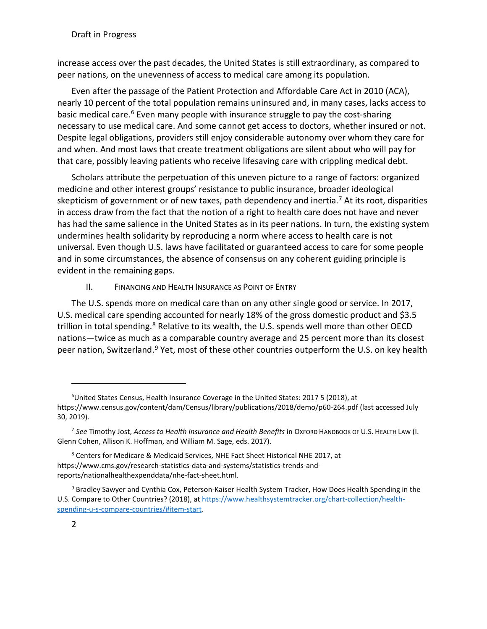increase access over the past decades, the United States is still extraordinary, as compared to peer nations, on the unevenness of access to medical care among its population.

Even after the passage of the Patient Protection and Affordable Care Act in 2010 (ACA), nearly 10 percent of the total population remains uninsured and, in many cases, lacks access to basic medical care.[6](#page-2-0) Even many people with insurance struggle to pay the cost-sharing necessary to use medical care. And some cannot get access to doctors, whether insured or not. Despite legal obligations, providers still enjoy considerable autonomy over whom they care for and when. And most laws that create treatment obligations are silent about who will pay for that care, possibly leaving patients who receive lifesaving care with crippling medical debt.

Scholars attribute the perpetuation of this uneven picture to a range of factors: organized medicine and other interest groups' resistance to public insurance, broader ideological skepticism of government or of new taxes, path dependency and inertia. [7](#page-2-1) At its root, disparities in access draw from the fact that the notion of a right to health care does not have and never has had the same salience in the United States as in its peer nations. In turn, the existing system undermines health solidarity by reproducing a norm where access to health care is not universal. Even though U.S. laws have facilitated or guaranteed access to care for some people and in some circumstances, the absence of consensus on any coherent guiding principle is evident in the remaining gaps.

<span id="page-2-4"></span>II. FINANCING AND HEALTH INSURANCE AS POINT OF ENTRY

The U.S. spends more on medical care than on any other single good or service. In 2017, U.S. medical care spending accounted for nearly 18% of the gross domestic product and \$3.5 trillion in total spending.<sup>[8](#page-2-2)</sup> Relative to its wealth, the U.S. spends well more than other OECD nations—twice as much as a comparable country average and 25 percent more than its closest peer nation, Switzerland.<sup>[9](#page-2-3)</sup> Yet, most of these other countries outperform the U.S. on key health

<span id="page-2-0"></span><sup>&</sup>lt;sup>6</sup>United States Census, Health Insurance Coverage in the United States: 2017 5 (2018), at https://www.census.gov/content/dam/Census/library/publications/2018/demo/p60-264.pdf (last accessed July 30, 2019).

<span id="page-2-1"></span><sup>7</sup> *See* Timothy Jost, *Access to Health Insurance and Health Benefits* in OXFORD HANDBOOK OF U.S. HEALTH LAW (I. Glenn Cohen, Allison K. Hoffman, and William M. Sage, eds. 2017).

<span id="page-2-2"></span><sup>8</sup> Centers for Medicare & Medicaid Services, NHE Fact Sheet Historical NHE 2017, at https://www.cms.gov/research-statistics-data-and-systems/statistics-trends-andreports/nationalhealthexpenddata/nhe-fact-sheet.html.

<span id="page-2-3"></span><sup>&</sup>lt;sup>9</sup> Bradley Sawyer and Cynthia Cox, Peterson-Kaiser Health System Tracker, How Does Health Spending in the U.S. Compare to Other Countries? (2018), at [https://www.healthsystemtracker.org/chart-collection/health](https://www.healthsystemtracker.org/chart-collection/health-spending-u-s-compare-countries/#item-start)[spending-u-s-compare-countries/#item-start.](https://www.healthsystemtracker.org/chart-collection/health-spending-u-s-compare-countries/#item-start)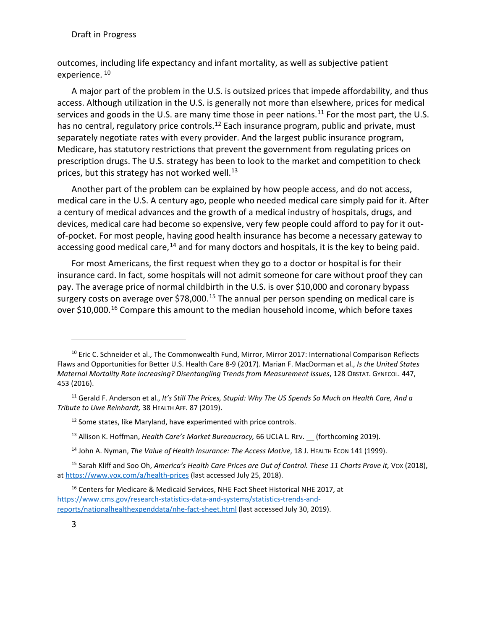outcomes, including life expectancy and infant mortality, as well as subjective patient experience. [10](#page-3-0)

A major part of the problem in the U.S. is outsized prices that impede affordability, and thus access. Although utilization in the U.S. is generally not more than elsewhere, prices for medical services and goods in the U.S. are many time those in peer nations.<sup>11</sup> For the most part, the U.S. has no central, regulatory price controls.<sup>[12](#page-3-2)</sup> Each insurance program, public and private, must separately negotiate rates with every provider. And the largest public insurance program, Medicare, has statutory restrictions that prevent the government from regulating prices on prescription drugs. The U.S. strategy has been to look to the market and competition to check prices, but this strategy has not worked well.<sup>[13](#page-3-3)</sup>

Another part of the problem can be explained by how people access, and do not access, medical care in the U.S. A century ago, people who needed medical care simply paid for it. After a century of medical advances and the growth of a medical industry of hospitals, drugs, and devices, medical care had become so expensive, very few people could afford to pay for it outof-pocket. For most people, having good health insurance has become a necessary gateway to accessing good medical care,<sup>[14](#page-3-4)</sup> and for many doctors and hospitals, it is the key to being paid.

For most Americans, the first request when they go to a doctor or hospital is for their insurance card. In fact, some hospitals will not admit someone for care without proof they can pay. The average price of normal childbirth in the U.S. is over \$10,000 and coronary bypass surgery costs on average over \$78,000.<sup>[15](#page-3-5)</sup> The annual per person spending on medical care is over \$10,000.<sup>[16](#page-3-6)</sup> Compare this amount to the median household income, which before taxes

- <sup>13</sup> Allison K. Hoffman, *Health Care's Market Bureaucracy,* 66 UCLA L. REV. (forthcoming 2019).
- <sup>14</sup> John A. Nyman, *The Value of Health Insurance: The Access Motive*, 18 J. HEALTH ECON 141 (1999).

<span id="page-3-0"></span><sup>&</sup>lt;sup>10</sup> Eric C. Schneider et al., The Commonwealth Fund, Mirror, Mirror 2017: International Comparison Reflects Flaws and Opportunities for Better U.S. Health Care 8-9 (2017). Marian F. MacDorman et al., *Is the United States Maternal Mortality Rate Increasing? Disentangling Trends from Measurement Issues*, 128 OBSTAT. GYNECOL. 447, 453 (2016).

<span id="page-3-2"></span><span id="page-3-1"></span><sup>11</sup> Gerald F. Anderson et al., *It's Still The Prices, Stupid: Why The US Spends So Much on Health Care, And a Tribute to Uwe Reinhardt,* 38 HEALTH AFF. 87 (2019).

 $12$  Some states, like Maryland, have experimented with price controls.

<span id="page-3-5"></span><span id="page-3-4"></span><span id="page-3-3"></span><sup>&</sup>lt;sup>15</sup> Sarah Kliff and Soo Oh, *America's Health Care Prices are Out of Control. These 11 Charts Prove it, Vox (2018),* a[t https://www.vox.com/a/health-prices](https://www.vox.com/a/health-prices) (last accessed July 25, 2018).

<span id="page-3-6"></span><sup>&</sup>lt;sup>16</sup> Centers for Medicare & Medicaid Services, NHE Fact Sheet Historical NHE 2017, at [https://www.cms.gov/research-statistics-data-and-systems/statistics-trends-and](https://www.cms.gov/research-statistics-data-and-systems/statistics-trends-and-reports/nationalhealthexpenddata/nhe-fact-sheet.html)[reports/nationalhealthexpenddata/nhe-fact-sheet.html](https://www.cms.gov/research-statistics-data-and-systems/statistics-trends-and-reports/nationalhealthexpenddata/nhe-fact-sheet.html) (last accessed July 30, 2019).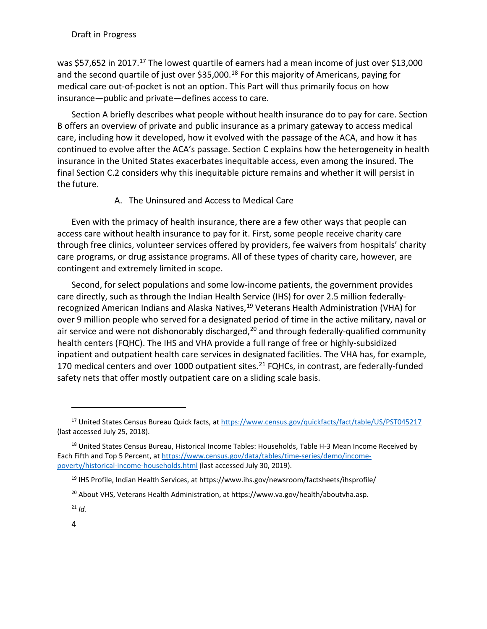was \$57,652 in 20[17](#page-4-0).<sup>17</sup> The lowest quartile of earners had a mean income of just over \$13,000 and the second quartile of just over \$35,000.<sup>[18](#page-4-1)</sup> For this majority of Americans, paying for medical care out-of-pocket is not an option. This Part will thus primarily focus on how insurance—public and private—defines access to care.

Section A briefly describes what people without health insurance do to pay for care. Section B offers an overview of private and public insurance as a primary gateway to access medical care, including how it developed, how it evolved with the passage of the ACA, and how it has continued to evolve after the ACA's passage. Section C explains how the heterogeneity in health insurance in the United States exacerbates inequitable access, even among the insured. The final Section C.2 considers why this inequitable picture remains and whether it will persist in the future.

# A. The Uninsured and Access to Medical Care

Even with the primacy of health insurance, there are a few other ways that people can access care without health insurance to pay for it. First, some people receive charity care through free clinics, volunteer services offered by providers, fee waivers from hospitals' charity care programs, or drug assistance programs. All of these types of charity care, however, are contingent and extremely limited in scope.

Second, for select populations and some low-income patients, the government provides care directly, such as through the Indian Health Service (IHS) for over 2.5 million federally-recognized American Indians and Alaska Natives,<sup>[19](#page-4-2)</sup> Veterans Health Administration (VHA) for over 9 million people who served for a designated period of time in the active military, naval or air service and were not dishonorably discharged,<sup>[20](#page-4-3)</sup> and through federally-qualified community health centers (FQHC). The IHS and VHA provide a full range of free or highly-subsidized inpatient and outpatient health care services in designated facilities. The VHA has, for example, 170 medical centers and over 1000 outpatient sites.<sup>[21](#page-4-4)</sup> FQHCs, in contrast, are federally-funded safety nets that offer mostly outpatient care on a sliding scale basis.

<span id="page-4-4"></span> $^{21}$  *Id.* 

<span id="page-4-0"></span><sup>17</sup> United States Census Bureau Quick facts, at<https://www.census.gov/quickfacts/fact/table/US/PST045217> (last accessed July 25, 2018).

<span id="page-4-2"></span><span id="page-4-1"></span><sup>&</sup>lt;sup>18</sup> United States Census Bureau, Historical Income Tables: Households, Table H-3 Mean Income Received by Each Fifth and Top 5 Percent, a[t https://www.census.gov/data/tables/time-series/demo/income](https://www.census.gov/data/tables/time-series/demo/income-poverty/historical-income-households.html)[poverty/historical-income-households.html](https://www.census.gov/data/tables/time-series/demo/income-poverty/historical-income-households.html) (last accessed July 30, 2019).

<sup>19</sup> IHS Profile, Indian Health Services, at https://www.ihs.gov/newsroom/factsheets/ihsprofile/

<span id="page-4-3"></span><sup>&</sup>lt;sup>20</sup> About VHS, Veterans Health Administration, at https://www.va.gov/health/aboutvha.asp.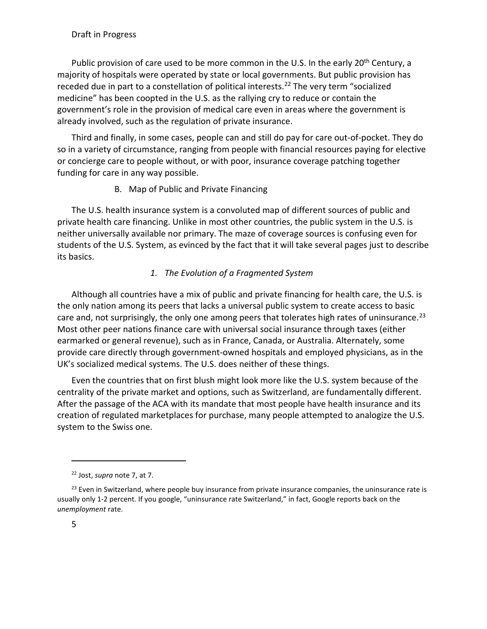Public provision of care used to be more common in the U.S. In the early 20<sup>th</sup> Century, a majority of hospitals were operated by state or local governments. But public provision has receded due in part to a constellation of political interests.<sup>[22](#page-5-0)</sup> The very term "socialized medicine" has been coopted in the U.S. as the rallying cry to reduce or contain the government's role in the provision of medical care even in areas where the government is already involved, such as the regulation of private insurance.

Third and finally, in some cases, people can and still do pay for care out-of-pocket. They do so in a variety of circumstance, ranging from people with financial resources paying for elective or concierge care to people without, or with poor, insurance coverage patching together funding for care in any way possible.

#### B. Map of Public and Private Financing

The U.S. health insurance system is a convoluted map of different sources of public and private health care financing. Unlike in most other countries, the public system in the U.S. is neither universally available nor primary. The maze of coverage sources is confusing even for students of the U.S. System, as evinced by the fact that it will take several pages just to describe its basics.

#### *1. The Evolution of a Fragmented System*

Although all countries have a mix of public and private financing for health care, the U.S. is the only nation among its peers that lacks a universal public system to create access to basic care and, not surprisingly, the only one among peers that tolerates high rates of uninsurance.<sup>[23](#page-5-1)</sup> Most other peer nations finance care with universal social insurance through taxes (either earmarked or general revenue), such as in France, Canada, or Australia. Alternately, some provide care directly through government-owned hospitals and employed physicians, as in the UK's socialized medical systems. The U.S. does neither of these things.

Even the countries that on first blush might look more like the U.S. system because of the centrality of the private market and options, such as Switzerland, are fundamentally different. After the passage of the ACA with its mandate that most people have health insurance and its creation of regulated marketplaces for purchase, many people attempted to analogize the U.S. system to the Swiss one.

<sup>22</sup> Jost, *supra* not[e 7,](#page-2-4) at 7.

<span id="page-5-1"></span><span id="page-5-0"></span> $23$  Even in Switzerland, where people buy insurance from private insurance companies, the uninsurance rate is usually only 1-2 percent. If you google, "uninsurance rate Switzerland," in fact, Google reports back on the *unemployment* rate.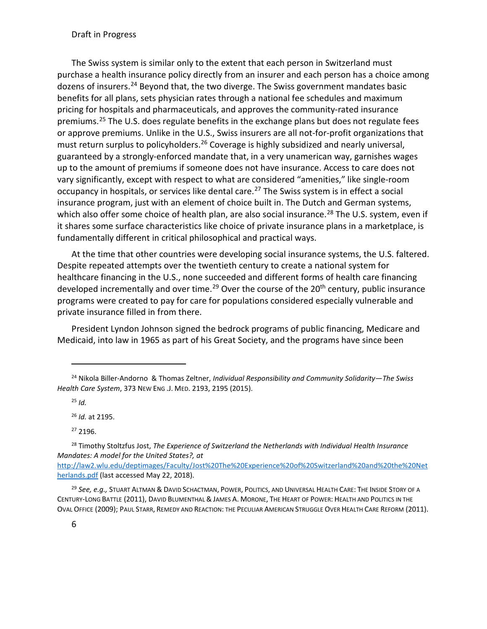The Swiss system is similar only to the extent that each person in Switzerland must purchase a health insurance policy directly from an insurer and each person has a choice among dozens of insurers.[24](#page-6-0) Beyond that, the two diverge. The Swiss government mandates basic benefits for all plans, sets physician rates through a national fee schedules and maximum pricing for hospitals and pharmaceuticals, and approves the community-rated insurance premiums.[25](#page-6-1) The U.S. does regulate benefits in the exchange plans but does not regulate fees or approve premiums. Unlike in the U.S., Swiss insurers are all not-for-profit organizations that must return surplus to policyholders.<sup>[26](#page-6-2)</sup> Coverage is highly subsidized and nearly universal, guaranteed by a strongly-enforced mandate that, in a very unamerican way, garnishes wages up to the amount of premiums if someone does not have insurance. Access to care does not vary significantly, except with respect to what are considered "amenities," like single-room occupancy in hospitals, or services like dental care.<sup>[27](#page-6-3)</sup> The Swiss system is in effect a social insurance program, just with an element of choice built in. The Dutch and German systems, which also offer some choice of health plan, are also social insurance.<sup>[28](#page-6-4)</sup> The U.S. system, even if it shares some surface characteristics like choice of private insurance plans in a marketplace, is fundamentally different in critical philosophical and practical ways.

At the time that other countries were developing social insurance systems, the U.S. faltered. Despite repeated attempts over the twentieth century to create a national system for healthcare financing in the U.S., none succeeded and different forms of health care financing developed incrementally and over time.<sup>[29](#page-6-5)</sup> Over the course of the  $20<sup>th</sup>$  century, public insurance programs were created to pay for care for populations considered especially vulnerable and private insurance filled in from there.

President Lyndon Johnson signed the bedrock programs of public financing, Medicare and Medicaid, into law in 1965 as part of his Great Society, and the programs have since been

<span id="page-6-1"></span><span id="page-6-0"></span><sup>24</sup> Nikola Biller-Andorno & Thomas Zeltner, *Individual Responsibility and Community Solidarity—The Swiss Health Care System*, 373 NEW ENG .J. MED. 2193, 2195 (2015).

 $25$  *Id.* 

<sup>26</sup> *Id.* at 2195.

<sup>27</sup> 2196.

<span id="page-6-4"></span><span id="page-6-3"></span><span id="page-6-2"></span><sup>28</sup> Timothy Stoltzfus Jost, *The Experience of Switzerland the Netherlands with Individual Health Insurance Mandates: A model for the United States?, at* 

[http://law2.wlu.edu/deptimages/Faculty/Jost%20The%20Experience%20of%20Switzerland%20and%20the%20Net](http://law2.wlu.edu/deptimages/Faculty/Jost%20The%20Experience%20of%20Switzerland%20and%20the%20Netherlands.pdf) [herlands.pdf](http://law2.wlu.edu/deptimages/Faculty/Jost%20The%20Experience%20of%20Switzerland%20and%20the%20Netherlands.pdf) (last accessed May 22, 2018).

<span id="page-6-5"></span><sup>29</sup> *See, e.g.,* STUART ALTMAN & DAVID SCHACTMAN, POWER, POLITICS, AND UNIVERSAL HEALTH CARE: THE INSIDE STORY OF A CENTURY-LONG BATTLE (2011), DAVID BLUMENTHAL & JAMES A. MORONE, THE HEART OF POWER: HEALTH AND POLITICS IN THE OVAL OFFICE (2009); PAUL STARR, REMEDY AND REACTION: THE PECULIAR AMERICAN STRUGGLE OVER HEALTH CARE REFORM (2011).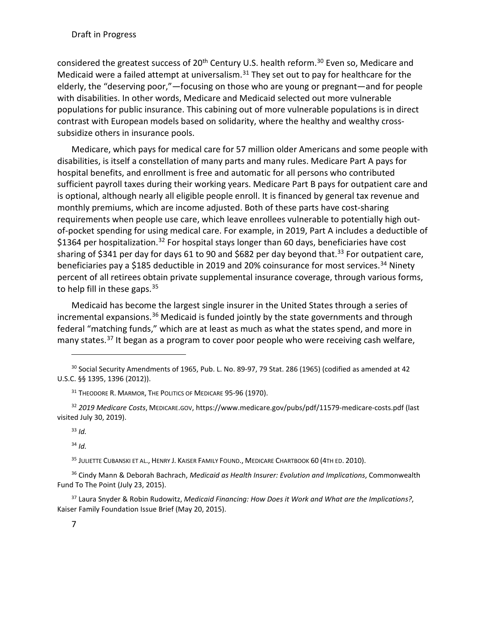considered the greatest success of 20<sup>th</sup> Century U.S. health reform.<sup>[30](#page-7-0)</sup> Even so, Medicare and Medicaid were a failed attempt at universalism.<sup>[31](#page-7-1)</sup> They set out to pay for healthcare for the elderly, the "deserving poor,"—focusing on those who are young or pregnant—and for people with disabilities. In other words, Medicare and Medicaid selected out more vulnerable populations for public insurance. This cabining out of more vulnerable populations is in direct contrast with European models based on solidarity, where the healthy and wealthy crosssubsidize others in insurance pools.

Medicare, which pays for medical care for 57 million older Americans and some people with disabilities, is itself a constellation of many parts and many rules. Medicare Part A pays for hospital benefits, and enrollment is free and automatic for all persons who contributed sufficient payroll taxes during their working years. Medicare Part B pays for outpatient care and is optional, although nearly all eligible people enroll. It is financed by general tax revenue and monthly premiums, which are income adjusted. Both of these parts have cost-sharing requirements when people use care, which leave enrollees vulnerable to potentially high outof-pocket spending for using medical care. For example, in 2019, Part A includes a deductible of \$1364 per hospitalization.<sup>[32](#page-7-2)</sup> For hospital stays longer than 60 days, beneficiaries have cost sharing of \$341 per day for days 61 to 90 and \$682 per day beyond that.<sup>[33](#page-7-3)</sup> For outpatient care, beneficiaries pay a \$185 deductible in 2019 and 20% coinsurance for most services.<sup>[34](#page-7-4)</sup> Ninety percent of all retirees obtain private supplemental insurance coverage, through various forms, to help fill in these gaps.<sup>[35](#page-7-5)</sup>

Medicaid has become the largest single insurer in the United States through a series of incremental expansions.<sup>[36](#page-7-6)</sup> Medicaid is funded jointly by the state governments and through federal "matching funds," which are at least as much as what the states spend, and more in many states.<sup>[37](#page-7-7)</sup> It began as a program to cover poor people who were receiving cash welfare,

 $33$  *Id.* 

<sup>34</sup> *Id.* 

<sup>35</sup> JULIETTE CUBANSKI ET AL., HENRY J. KAISER FAMILY FOUND., MEDICARE CHARTBOOK 60 (4TH ED. 2010).

<span id="page-7-6"></span><span id="page-7-5"></span><span id="page-7-4"></span><sup>36</sup> Cindy Mann & Deborah Bachrach, *Medicaid as Health Insurer: Evolution and Implications*, Commonwealth Fund To The Point (July 23, 2015).

<span id="page-7-7"></span><sup>37</sup> Laura Snyder & Robin Rudowitz, *Medicaid Financing: How Does it Work and What are the Implications?*, Kaiser Family Foundation Issue Brief (May 20, 2015).

<span id="page-7-0"></span> $30$  Social Security Amendments of 1965, Pub. L. No. 89-97, 79 Stat. 286 (1965) (codified as amended at 42 U.S.C. §§ 1395, 1396 (2012)).

<sup>&</sup>lt;sup>31</sup> THEODORE R. MARMOR, THE POLITICS OF MEDICARE 95-96 (1970).

<span id="page-7-3"></span><span id="page-7-2"></span><span id="page-7-1"></span><sup>32</sup> *2019 Medicare Costs*, MEDICARE.GOV, https://www.medicare.gov/pubs/pdf/11579-medicare-costs.pdf (last visited July 30, 2019).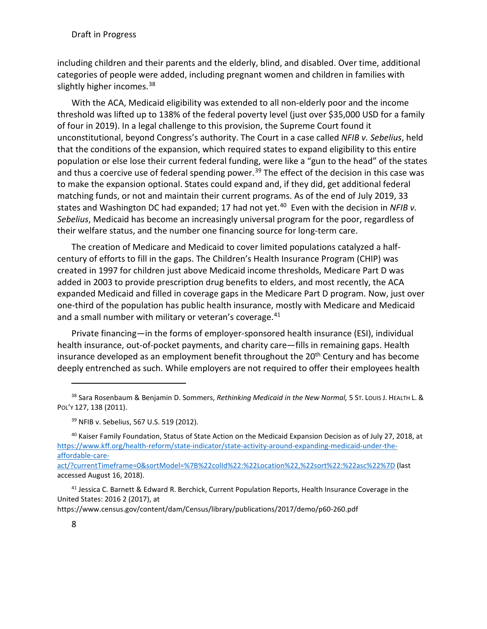including children and their parents and the elderly, blind, and disabled. Over time, additional categories of people were added, including pregnant women and children in families with slightly higher incomes.<sup>[38](#page-8-0)</sup>

With the ACA, Medicaid eligibility was extended to all non-elderly poor and the income threshold was lifted up to 138% of the federal poverty level (just over \$35,000 USD for a family of four in 2019). In a legal challenge to this provision, the Supreme Court found it unconstitutional, beyond Congress's authority. The Court in a case called *NFIB v. Sebelius*, held that the conditions of the expansion, which required states to expand eligibility to this entire population or else lose their current federal funding, were like a "gun to the head" of the states and thus a coercive use of federal spending power.<sup>[39](#page-8-1)</sup> The effect of the decision in this case was to make the expansion optional. States could expand and, if they did, get additional federal matching funds, or not and maintain their current programs. As of the end of July 2019, 33 states and Washington DC had expanded; 17 had not yet.<sup>[40](#page-8-2)</sup> Even with the decision in *NFIB v. Sebelius*, Medicaid has become an increasingly universal program for the poor, regardless of their welfare status, and the number one financing source for long-term care.

The creation of Medicare and Medicaid to cover limited populations catalyzed a halfcentury of efforts to fill in the gaps. The Children's Health Insurance Program (CHIP) was created in 1997 for children just above Medicaid income thresholds, Medicare Part D was added in 2003 to provide prescription drug benefits to elders, and most recently, the ACA expanded Medicaid and filled in coverage gaps in the Medicare Part D program. Now, just over one-third of the population has public health insurance, mostly with Medicare and Medicaid and a small number with military or veteran's coverage.<sup>[41](#page-8-3)</sup>

Private financing—in the forms of employer-sponsored health insurance (ESI), individual health insurance, out-of-pocket payments, and charity care—fills in remaining gaps. Health insurance developed as an employment benefit throughout the  $20<sup>th</sup>$  Century and has become deeply entrenched as such. While employers are not required to offer their employees health

[act/?currentTimeframe=0&sortModel=%7B%22colId%22:%22Location%22,%22sort%22:%22asc%22%7D](https://www.kff.org/health-reform/state-indicator/state-activity-around-expanding-medicaid-under-the-affordable-care-act/?currentTimeframe=0&sortModel=%7B%22colId%22:%22Location%22,%22sort%22:%22asc%22%7D) (last accessed August 16, 2018).

<span id="page-8-0"></span><sup>38</sup> Sara Rosenbaum & Benjamin D. Sommers, *Rethinking Medicaid in the New Normal,* 5 ST. LOUIS J. HEALTH L. & POL'Y 127, 138 (2011).

<sup>39</sup> NFIB v. Sebelius, 567 U.S. 519 (2012).

<span id="page-8-2"></span><span id="page-8-1"></span><sup>&</sup>lt;sup>40</sup> Kaiser Family Foundation, Status of State Action on the Medicaid Expansion Decision as of July 27, 2018, at [https://www.kff.org/health-reform/state-indicator/state-activity-around-expanding-medicaid-under-the](https://www.kff.org/health-reform/state-indicator/state-activity-around-expanding-medicaid-under-the-affordable-care-act/?currentTimeframe=0&sortModel=%7B%22colId%22:%22Location%22,%22sort%22:%22asc%22%7D)[affordable-care-](https://www.kff.org/health-reform/state-indicator/state-activity-around-expanding-medicaid-under-the-affordable-care-act/?currentTimeframe=0&sortModel=%7B%22colId%22:%22Location%22,%22sort%22:%22asc%22%7D)

<span id="page-8-3"></span><sup>&</sup>lt;sup>41</sup> Jessica C. Barnett & Edward R. Berchick, Current Population Reports, Health Insurance Coverage in the United States: 2016 2 (2017), at

https://www.census.gov/content/dam/Census/library/publications/2017/demo/p60-260.pdf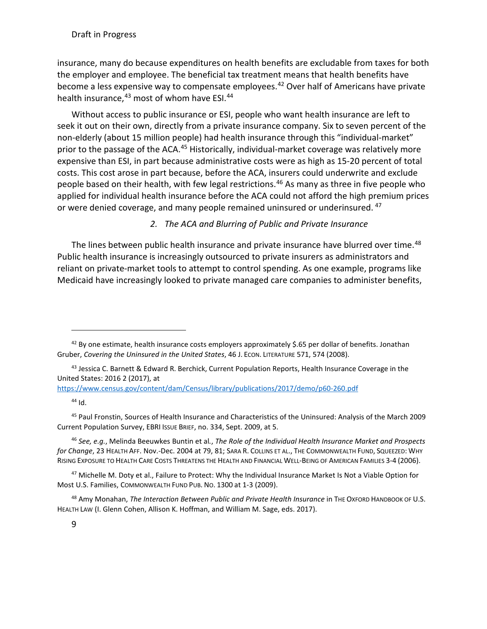insurance, many do because expenditures on health benefits are excludable from taxes for both the employer and employee. The beneficial tax treatment means that health benefits have become a less expensive way to compensate employees.<sup>[42](#page-9-0)</sup> Over half of Americans have private health insurance, <sup>[43](#page-9-1)</sup> most of whom have ESI.<sup>[44](#page-9-2)</sup>

Without access to public insurance or ESI, people who want health insurance are left to seek it out on their own, directly from a private insurance company. Six to seven percent of the non-elderly (about 15 million people) had health insurance through this "individual-market" prior to the passage of the ACA.<sup>[45](#page-9-3)</sup> Historically, individual-market coverage was relatively more expensive than ESI, in part because administrative costs were as high as 15-20 percent of total costs. This cost arose in part because, before the ACA, insurers could underwrite and exclude people based on their health, with few legal restrictions. [46](#page-9-4) As many as three in five people who applied for individual health insurance before the ACA could not afford the high premium prices or were denied coverage, and many people remained uninsured or underinsured. <sup>[47](#page-9-5)</sup>

#### *2. The ACA and Blurring of Public and Private Insurance*

The lines between public health insurance and private insurance have blurred over time.<sup>[48](#page-9-6)</sup> Public health insurance is increasingly outsourced to private insurers as administrators and reliant on private-market tools to attempt to control spending. As one example, programs like Medicaid have increasingly looked to private managed care companies to administer benefits,

<span id="page-9-2"></span><https://www.census.gov/content/dam/Census/library/publications/2017/demo/p60-260.pdf>

 $44$  Id.

<span id="page-9-3"></span><sup>45</sup> Paul Fronstin, Sources of Health Insurance and Characteristics of the Uninsured: Analysis of the March 2009 Current Population Survey, EBRI ISSUE BRIEF, no. 334, Sept. 2009, at 5.

<span id="page-9-4"></span><sup>46</sup> *See, e.g.*, Melinda Beeuwkes Buntin et al*.*, *The Role of the Individual Health Insurance Market and Prospects for Change*, 23 HEALTH AFF. Nov.-Dec. 2004 at 79, 81; SARA R. COLLINS ET AL., THE COMMONWEALTH FUND, SQUEEZED: WHY RISING EXPOSURE TO HEALTH CARE COSTS THREATENS THE HEALTH AND FINANCIAL WELL-BEING OF AMERICAN FAMILIES 3-4 (2006).

<span id="page-9-5"></span><sup>47</sup> Michelle M. Doty et al., Failure to Protect: Why the Individual Insurance Market Is Not a Viable Option for Most U.S. Families, COMMONWEALTH FUND PUB. NO. 1300 at 1-3 (2009).

<span id="page-9-6"></span><sup>48</sup> Amy Monahan, *The Interaction Between Public and Private Health Insurance* in The OxFORD HANDBOOK OF U.S. HEALTH LAW (I. Glenn Cohen, Allison K. Hoffman, and William M. Sage, eds. 2017).

<span id="page-9-0"></span> $42$  By one estimate, health insurance costs employers approximately \$.65 per dollar of benefits. Jonathan Gruber, *Covering the Uninsured in the United States*, 46 J. ECON. LITERATURE 571, 574 (2008).

<span id="page-9-1"></span><sup>&</sup>lt;sup>43</sup> Jessica C. Barnett & Edward R. Berchick, Current Population Reports, Health Insurance Coverage in the United States: 2016 2 (2017), at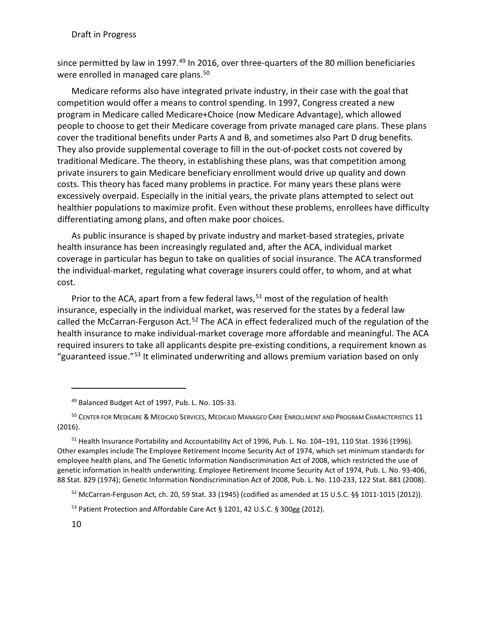since permitted by law in 1997.<sup>[49](#page-10-0)</sup> In 2016, over three-quarters of the 80 million beneficiaries were enrolled in managed care plans.<sup>50</sup>

Medicare reforms also have integrated private industry, in their case with the goal that competition would offer a means to control spending. In 1997, Congress created a new program in Medicare called Medicare+Choice (now Medicare Advantage), which allowed people to choose to get their Medicare coverage from private managed care plans. These plans cover the traditional benefits under Parts A and B, and sometimes also Part D drug benefits. They also provide supplemental coverage to fill in the out-of-pocket costs not covered by traditional Medicare. The theory, in establishing these plans, was that competition among private insurers to gain Medicare beneficiary enrollment would drive up quality and down costs. This theory has faced many problems in practice. For many years these plans were excessively overpaid. Especially in the initial years, the private plans attempted to select out healthier populations to maximize profit. Even without these problems, enrollees have difficulty differentiating among plans, and often make poor choices.

As public insurance is shaped by private industry and market-based strategies, private health insurance has been increasingly regulated and, after the ACA, individual market coverage in particular has begun to take on qualities of social insurance. The ACA transformed the individual-market, regulating what coverage insurers could offer, to whom, and at what cost.

Prior to the ACA, apart from a few federal laws,<sup>[51](#page-10-2)</sup> most of the regulation of health insurance, especially in the individual market, was reserved for the states by a federal law called the McCarran-Ferguson Act.<sup>[52](#page-10-3)</sup> The ACA in effect federalized much of the regulation of the health insurance to make individual-market coverage more affordable and meaningful. The ACA required insurers to take all applicants despite pre-existing conditions, a requirement known as "guaranteed issue."[53](#page-10-4) It eliminated underwriting and allows premium variation based on only

<sup>49</sup> Balanced Budget Act of 1997, Pub. L. No. 105-33.

<span id="page-10-1"></span><span id="page-10-0"></span><sup>&</sup>lt;sup>50</sup> CENTER FOR MEDICARE & MEDICAID SERVICES, MEDICAID MANAGED CARE ENROLLMENT AND PROGRAM CHARACTERISTICS 11 (2016).

<span id="page-10-2"></span><sup>&</sup>lt;sup>51</sup> Health Insurance Portability and Accountability Act of 1996, Pub. L. No. 104-191, 110 Stat. 1936 (1996). Other examples include The Employee Retirement Income Security Act of 1974, which set minimum standards for employee health plans, and The Genetic Information Nondiscrimination Act of 2008, which restricted the use of genetic information in health underwriting. Employee Retirement Income Security Act of 1974, Pub. L. No. 93-406, 88 Stat. 829 (1974); Genetic Information Nondiscrimination Act of 2008, Pub. L. No. 110-233, 122 Stat. 881 (2008).

<span id="page-10-3"></span> $52$  McCarran-Ferguson Act, ch. 20, 59 Stat. 33 (1945) (codified as amended at 15 U.S.C. §§ 1011-1015 (2012)).

<span id="page-10-4"></span><sup>53</sup> Patient Protection and Affordable Care Act § 1201, 42 U.S.C. § 300gg (2012).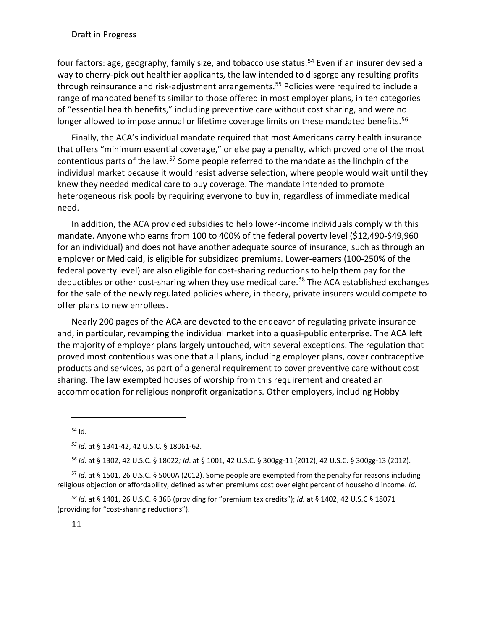four factors: age, geography, family size, and tobacco use status.<sup>[54](#page-11-0)</sup> Even if an insurer devised a way to cherry-pick out healthier applicants, the law intended to disgorge any resulting profits through reinsurance and risk-adjustment arrangements.<sup>[55](#page-11-1)</sup> Policies were required to include a range of mandated benefits similar to those offered in most employer plans, in ten categories of "essential health benefits," including preventive care without cost sharing, and were no longer allowed to impose annual or lifetime coverage limits on these mandated benefits.<sup>[56](#page-11-2)</sup>

Finally, the ACA's individual mandate required that most Americans carry health insurance that offers "minimum essential coverage," or else pay a penalty, which proved one of the most contentious parts of the law.<sup>[57](#page-11-3)</sup> Some people referred to the mandate as the linchpin of the individual market because it would resist adverse selection, where people would wait until they knew they needed medical care to buy coverage. The mandate intended to promote heterogeneous risk pools by requiring everyone to buy in, regardless of immediate medical need.

In addition, the ACA provided subsidies to help lower-income individuals comply with this mandate. Anyone who earns from 100 to 400% of the federal poverty level (\$12,490-\$49,960 for an individual) and does not have another adequate source of insurance, such as through an employer or Medicaid, is eligible for subsidized premiums. Lower-earners (100-250% of the federal poverty level) are also eligible for cost-sharing reductions to help them pay for the deductibles or other cost-sharing when they use medical care.<sup>[58](#page-11-4)</sup> The ACA established exchanges for the sale of the newly regulated policies where, in theory, private insurers would compete to offer plans to new enrollees.

Nearly 200 pages of the ACA are devoted to the endeavor of regulating private insurance and, in particular, revamping the individual market into a quasi-public enterprise. The ACA left the majority of employer plans largely untouched, with several exceptions. The regulation that proved most contentious was one that all plans, including employer plans, cover contraceptive products and services, as part of a general requirement to cover preventive care without cost sharing. The law exempted houses of worship from this requirement and created an accommodation for religious nonprofit organizations. Other employers, including Hobby

<span id="page-11-0"></span><sup>54</sup> Id.

*<sup>55</sup> Id*. at § 1341-42, 42 U.S.C. § 18061-62.

*<sup>56</sup> Id*. at § 1302, 42 U.S.C. § 18022*; Id*. at § 1001, 42 U.S.C. § 300gg-11 (2012), 42 U.S.C. § 300gg-13 (2012).

<span id="page-11-3"></span><span id="page-11-2"></span><span id="page-11-1"></span><sup>57</sup> *Id.* at § 1501, 26 U.S.C. § 5000A (2012). Some people are exempted from the penalty for reasons including religious objection or affordability, defined as when premiums cost over eight percent of household income. *Id.*

<span id="page-11-4"></span>*<sup>58</sup> Id*. at § 1401, 26 U.S.C. § 36B (providing for "premium tax credits"); *Id.* at § 1402, 42 U.S.C § 18071 (providing for "cost-sharing reductions").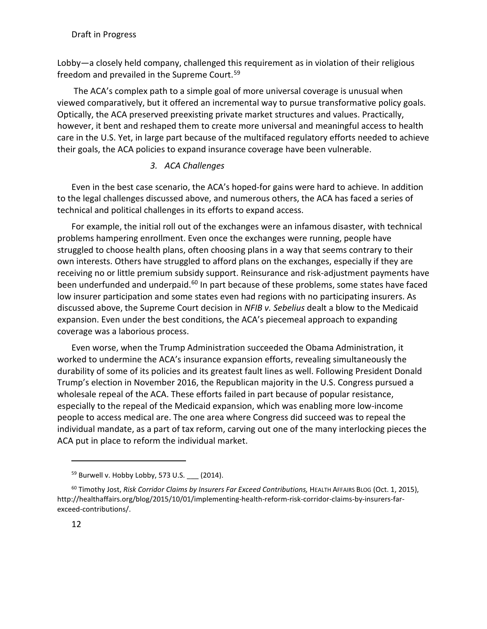Lobby—a closely held company, challenged this requirement as in violation of their religious freedom and prevailed in the Supreme Court.<sup>[59](#page-12-0)</sup>

The ACA's complex path to a simple goal of more universal coverage is unusual when viewed comparatively, but it offered an incremental way to pursue transformative policy goals. Optically, the ACA preserved preexisting private market structures and values. Practically, however, it bent and reshaped them to create more universal and meaningful access to health care in the U.S. Yet, in large part because of the multifaced regulatory efforts needed to achieve their goals, the ACA policies to expand insurance coverage have been vulnerable.

## *3. ACA Challenges*

Even in the best case scenario, the ACA's hoped-for gains were hard to achieve. In addition to the legal challenges discussed above, and numerous others, the ACA has faced a series of technical and political challenges in its efforts to expand access.

For example, the initial roll out of the exchanges were an infamous disaster, with technical problems hampering enrollment. Even once the exchanges were running, people have struggled to choose health plans, often choosing plans in a way that seems contrary to their own interests. Others have struggled to afford plans on the exchanges, especially if they are receiving no or little premium subsidy support. Reinsurance and risk-adjustment payments have been underfunded and underpaid.<sup>[60](#page-12-1)</sup> In part because of these problems, some states have faced low insurer participation and some states even had regions with no participating insurers. As discussed above, the Supreme Court decision in *NFIB v. Sebelius* dealt a blow to the Medicaid expansion. Even under the best conditions, the ACA's piecemeal approach to expanding coverage was a laborious process.

Even worse, when the Trump Administration succeeded the Obama Administration, it worked to undermine the ACA's insurance expansion efforts, revealing simultaneously the durability of some of its policies and its greatest fault lines as well. Following President Donald Trump's election in November 2016, the Republican majority in the U.S. Congress pursued a wholesale repeal of the ACA. These efforts failed in part because of popular resistance, especially to the repeal of the Medicaid expansion, which was enabling more low-income people to access medical are. The one area where Congress did succeed was to repeal the individual mandate, as a part of tax reform, carving out one of the many interlocking pieces the ACA put in place to reform the individual market.

<sup>59</sup> Burwell v. Hobby Lobby, 573 U.S. \_\_ (2014).

<span id="page-12-1"></span><span id="page-12-0"></span><sup>&</sup>lt;sup>60</sup> Timothy Jost, *Risk Corridor Claims by Insurers Far Exceed Contributions*, HEALTH AFFAIRS BLOG (Oct. 1, 2015), http://healthaffairs.org/blog/2015/10/01/implementing-health-reform-risk-corridor-claims-by-insurers-farexceed-contributions/.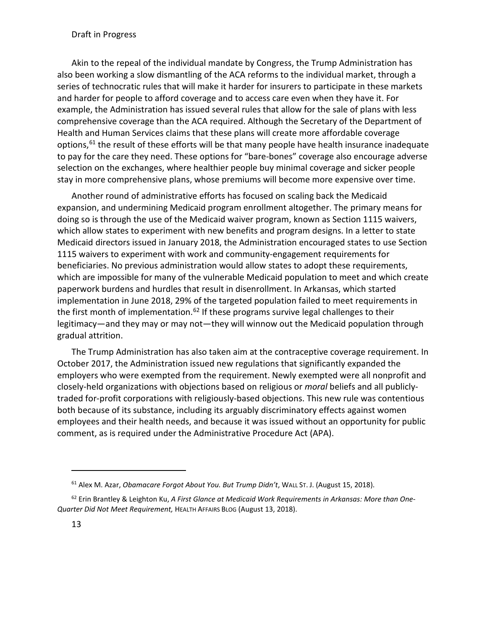Akin to the repeal of the individual mandate by Congress, the Trump Administration has also been working a slow dismantling of the ACA reforms to the individual market, through a series of technocratic rules that will make it harder for insurers to participate in these markets and harder for people to afford coverage and to access care even when they have it. For example, the Administration has issued several rules that allow for the sale of plans with less comprehensive coverage than the ACA required. Although the Secretary of the Department of Health and Human Services claims that these plans will create more affordable coverage options,<sup>[61](#page-13-0)</sup> the result of these efforts will be that many people have health insurance inadequate to pay for the care they need. These options for "bare-bones" coverage also encourage adverse selection on the exchanges, where healthier people buy minimal coverage and sicker people stay in more comprehensive plans, whose premiums will become more expensive over time.

Another round of administrative efforts has focused on scaling back the Medicaid expansion, and undermining Medicaid program enrollment altogether. The primary means for doing so is through the use of the Medicaid waiver program, known as Section 1115 waivers, which allow states to experiment with new benefits and program designs. In a letter to state Medicaid directors issued in January 2018, the Administration encouraged states to use Section 1115 waivers to experiment with work and community-engagement requirements for beneficiaries. No previous administration would allow states to adopt these requirements, which are impossible for many of the vulnerable Medicaid population to meet and which create paperwork burdens and hurdles that result in disenrollment. In Arkansas, which started implementation in June 2018, 29% of the targeted population failed to meet requirements in the first month of implementation.<sup>[62](#page-13-1)</sup> If these programs survive legal challenges to their legitimacy—and they may or may not—they will winnow out the Medicaid population through gradual attrition.

The Trump Administration has also taken aim at the contraceptive coverage requirement. In October 2017, the Administration issued new regulations that significantly expanded the employers who were exempted from the requirement. Newly exempted were all nonprofit and closely-held organizations with objections based on religious or *moral* beliefs and all publiclytraded for-profit corporations with religiously-based objections. This new rule was contentious both because of its substance, including its arguably discriminatory effects against women employees and their health needs, and because it was issued without an opportunity for public comment, as is required under the Administrative Procedure Act (APA).

<sup>61</sup> Alex M. Azar, *Obamacare Forgot About You. But Trump Didn't*, WALL ST. J. (August 15, 2018).

<span id="page-13-1"></span><span id="page-13-0"></span><sup>62</sup> Erin Brantley & Leighton Ku, *A First Glance at Medicaid Work Requirements in Arkansas: More than One-Quarter Did Not Meet Requirement,* HEALTH AFFAIRS BLOG (August 13, 2018).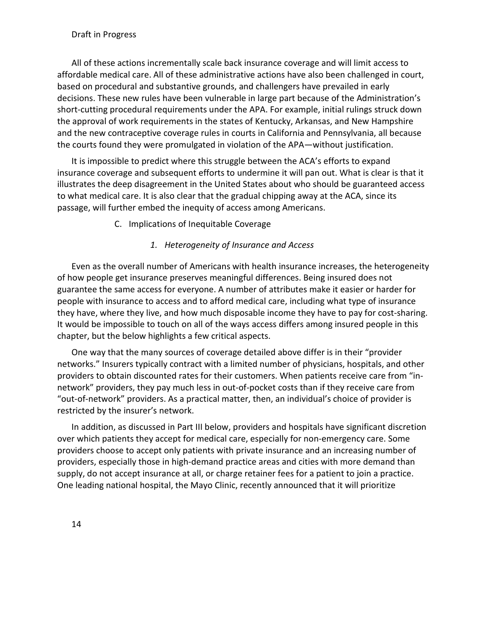All of these actions incrementally scale back insurance coverage and will limit access to affordable medical care. All of these administrative actions have also been challenged in court, based on procedural and substantive grounds, and challengers have prevailed in early decisions. These new rules have been vulnerable in large part because of the Administration's short-cutting procedural requirements under the APA. For example, initial rulings struck down the approval of work requirements in the states of Kentucky, Arkansas, and New Hampshire and the new contraceptive coverage rules in courts in California and Pennsylvania, all because the courts found they were promulgated in violation of the APA—without justification.

It is impossible to predict where this struggle between the ACA's efforts to expand insurance coverage and subsequent efforts to undermine it will pan out. What is clear is that it illustrates the deep disagreement in the United States about who should be guaranteed access to what medical care. It is also clear that the gradual chipping away at the ACA, since its passage, will further embed the inequity of access among Americans.

C. Implications of Inequitable Coverage

#### *1. Heterogeneity of Insurance and Access*

Even as the overall number of Americans with health insurance increases, the heterogeneity of how people get insurance preserves meaningful differences. Being insured does not guarantee the same access for everyone. A number of attributes make it easier or harder for people with insurance to access and to afford medical care, including what type of insurance they have, where they live, and how much disposable income they have to pay for cost-sharing. It would be impossible to touch on all of the ways access differs among insured people in this chapter, but the below highlights a few critical aspects.

One way that the many sources of coverage detailed above differ is in their "provider networks." Insurers typically contract with a limited number of physicians, hospitals, and other providers to obtain discounted rates for their customers. When patients receive care from "innetwork" providers, they pay much less in out-of-pocket costs than if they receive care from "out-of-network" providers. As a practical matter, then, an individual's choice of provider is restricted by the insurer's network.

In addition, as discussed in Part III below, providers and hospitals have significant discretion over which patients they accept for medical care, especially for non-emergency care. Some providers choose to accept only patients with private insurance and an increasing number of providers, especially those in high-demand practice areas and cities with more demand than supply, do not accept insurance at all, or charge retainer fees for a patient to join a practice. One leading national hospital, the Mayo Clinic, recently announced that it will prioritize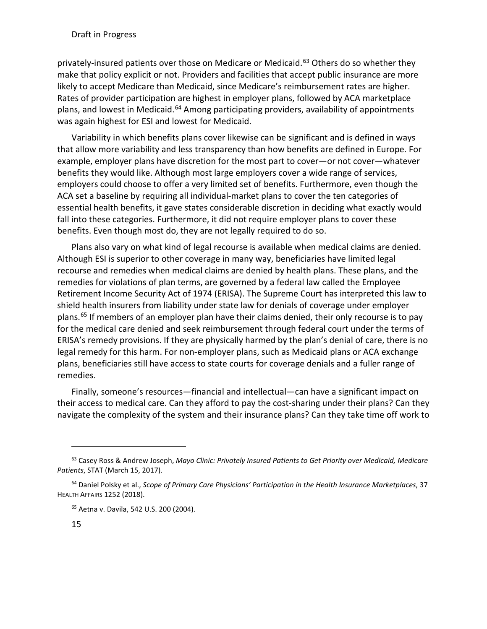privately-insured patients over those on Medicare or Medicaid.<sup>[63](#page-15-0)</sup> Others do so whether they make that policy explicit or not. Providers and facilities that accept public insurance are more likely to accept Medicare than Medicaid, since Medicare's reimbursement rates are higher. Rates of provider participation are highest in employer plans, followed by ACA marketplace plans, and lowest in Medicaid.<sup>[64](#page-15-1)</sup> Among participating providers, availability of appointments was again highest for ESI and lowest for Medicaid.

Variability in which benefits plans cover likewise can be significant and is defined in ways that allow more variability and less transparency than how benefits are defined in Europe. For example, employer plans have discretion for the most part to cover—or not cover—whatever benefits they would like. Although most large employers cover a wide range of services, employers could choose to offer a very limited set of benefits. Furthermore, even though the ACA set a baseline by requiring all individual-market plans to cover the ten categories of essential health benefits, it gave states considerable discretion in deciding what exactly would fall into these categories. Furthermore, it did not require employer plans to cover these benefits. Even though most do, they are not legally required to do so.

Plans also vary on what kind of legal recourse is available when medical claims are denied. Although ESI is superior to other coverage in many way, beneficiaries have limited legal recourse and remedies when medical claims are denied by health plans. These plans, and the remedies for violations of plan terms, are governed by a federal law called the Employee Retirement Income Security Act of 1974 (ERISA). The Supreme Court has interpreted this law to shield health insurers from liability under state law for denials of coverage under employer plans.<sup>[65](#page-15-2)</sup> If members of an employer plan have their claims denied, their only recourse is to pay for the medical care denied and seek reimbursement through federal court under the terms of ERISA's remedy provisions. If they are physically harmed by the plan's denial of care, there is no legal remedy for this harm. For non-employer plans, such as Medicaid plans or ACA exchange plans, beneficiaries still have access to state courts for coverage denials and a fuller range of remedies.

Finally, someone's resources—financial and intellectual—can have a significant impact on their access to medical care. Can they afford to pay the cost-sharing under their plans? Can they navigate the complexity of the system and their insurance plans? Can they take time off work to

<span id="page-15-0"></span><sup>63</sup> Casey Ross & Andrew Joseph, *Mayo Clinic: Privately Insured Patients to Get Priority over Medicaid, Medicare Patients*, STAT (March 15, 2017).

<span id="page-15-2"></span><span id="page-15-1"></span><sup>64</sup> Daniel Polsky et al., *Scope of Primary Care Physicians' Participation in the Health Insurance Marketplaces*, 37 HEALTH AFFAIRS 1252 (2018).

<sup>65</sup> Aetna v. Davila, 542 U.S. 200 (2004).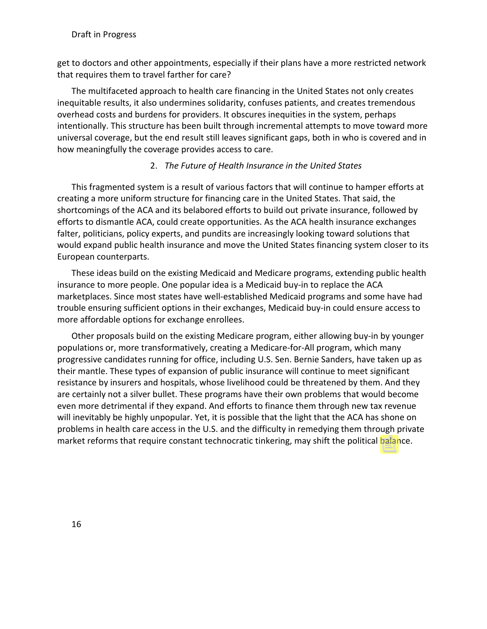get to doctors and other appointments, especially if their plans have a more restricted network that requires them to travel farther for care?

The multifaceted approach to health care financing in the United States not only creates inequitable results, it also undermines solidarity, confuses patients, and creates tremendous overhead costs and burdens for providers. It obscures inequities in the system, perhaps intentionally. This structure has been built through incremental attempts to move toward more universal coverage, but the end result still leaves significant gaps, both in who is covered and in how meaningfully the coverage provides access to care.

## 2. *The Future of Health Insurance in the United States*

This fragmented system is a result of various factors that will continue to hamper efforts at creating a more uniform structure for financing care in the United States. That said, the shortcomings of the ACA and its belabored efforts to build out private insurance, followed by efforts to dismantle ACA, could create opportunities. As the ACA health insurance exchanges falter, politicians, policy experts, and pundits are increasingly looking toward solutions that would expand public health insurance and move the United States financing system closer to its European counterparts.

These ideas build on the existing Medicaid and Medicare programs, extending public health insurance to more people. One popular idea is a Medicaid buy-in to replace the ACA marketplaces. Since most states have well-established Medicaid programs and some have had trouble ensuring sufficient options in their exchanges, Medicaid buy-in could ensure access to more affordable options for exchange enrollees.

Other proposals build on the existing Medicare program, either allowing buy-in by younger populations or, more transformatively, creating a Medicare-for-All program, which many progressive candidates running for office, including U.S. Sen. Bernie Sanders, have taken up as their mantle. These types of expansion of public insurance will continue to meet significant resistance by insurers and hospitals, whose livelihood could be threatened by them. And they are certainly not a silver bullet. These programs have their own problems that would become even more detrimental if they expand. And efforts to finance them through new tax revenue will inevitably be highly unpopular. Yet, it is possible that the light that the ACA has shone on problems in health care access in the U.S. and the difficulty in remedying them through private market reforms that require constant technocratic tinkering, may shift the political balance.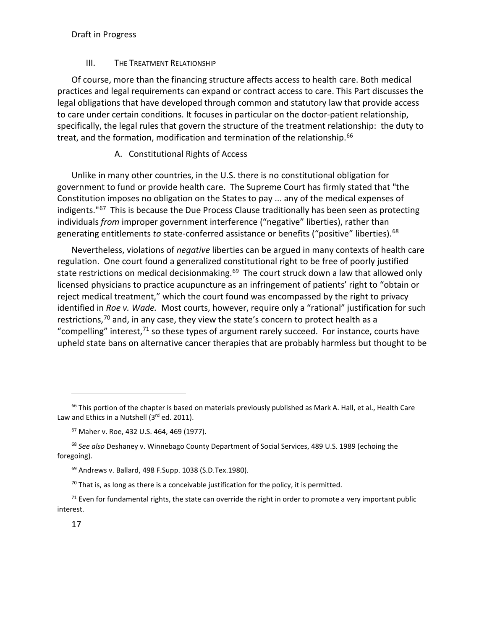## III. THE TREATMENT RELATIONSHIP

Of course, more than the financing structure affects access to health care. Both medical practices and legal requirements can expand or contract access to care. This Part discusses the legal obligations that have developed through common and statutory law that provide access to care under certain conditions. It focuses in particular on the doctor-patient relationship, specifically, the legal rules that govern the structure of the treatment relationship: the duty to treat, and the formation, modification and termination of the relationship.<sup>[66](#page-17-0)</sup>

# A. Constitutional Rights of Access

Unlike in many other countries, in the U.S. there is no constitutional obligation for government to fund or provide health care. The Supreme Court has firmly stated that "the Constitution imposes no obligation on the States to pay ... any of the medical expenses of indigents."<sup>[67](#page-17-1)</sup> This is because the Due Process Clause traditionally has been seen as protecting individuals *from* improper government interference ("negative" liberties), rather than generating entitlements *to* state-conferred assistance or benefits ("positive" liberties).[68](#page-17-2)

Nevertheless, violations of *negative* liberties can be argued in many contexts of health care regulation. One court found a generalized constitutional right to be free of poorly justified state restrictions on medical decisionmaking.<sup>[69](#page-17-3)</sup> The court struck down a law that allowed only licensed physicians to practice acupuncture as an infringement of patients' right to "obtain or reject medical treatment," which the court found was encompassed by the right to privacy identified in *Roe v. Wade.* Most courts, however, require only a "rational" justification for such restrictions, $70$  and, in any case, they view the state's concern to protect health as a "compelling" interest, $71$  so these types of argument rarely succeed. For instance, courts have upheld state bans on alternative cancer therapies that are probably harmless but thought to be

<span id="page-17-0"></span> $66$  This portion of the chapter is based on materials previously published as Mark A. Hall, et al., Health Care Law and Ethics in a Nutshell (3rd ed. 2011).

<sup>67</sup> Maher v. Roe, 432 U.S. 464, 469 (1977).

<span id="page-17-3"></span><span id="page-17-2"></span><span id="page-17-1"></span><sup>68</sup> *See also* Deshaney v. Winnebago County Department of Social Services, 489 U.S. 1989 (echoing the foregoing).

<sup>69</sup> Andrews v. Ballard, 498 F.Supp. 1038 (S.D.Tex.1980).

 $70$  That is, as long as there is a conceivable justification for the policy, it is permitted.

<span id="page-17-5"></span><span id="page-17-4"></span> $71$  Even for fundamental rights, the state can override the right in order to promote a very important public interest.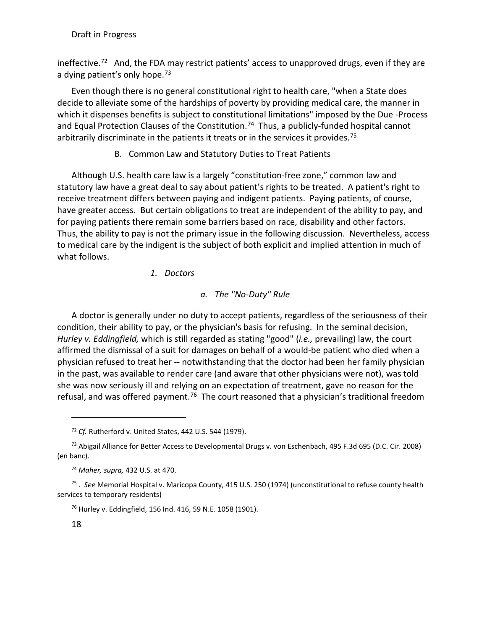ineffective.[72](#page-18-0) And, the FDA may restrict patients' access to unapproved drugs, even if they are a dying patient's only hope.<sup>[73](#page-18-1)</sup>

Even though there is no general constitutional right to health care, "when a State does decide to alleviate some of the hardships of poverty by providing medical care, the manner in which it dispenses benefits is subject to constitutional limitations" imposed by the Due -Process and Equal Protection Clauses of the Constitution.<sup>74</sup> Thus, a publicly-funded hospital cannot arbitrarily discriminate in the patients it treats or in the services it provides.<sup>75</sup>

B. Common Law and Statutory Duties to Treat Patients

Although U.S. health care law is a largely "constitution-free zone," common law and statutory law have a great deal to say about patient's rights to be treated. A patient's right to receive treatment differs between paying and indigent patients. Paying patients, of course, have greater access. But certain obligations to treat are independent of the ability to pay, and for paying patients there remain some barriers based on race, disability and other factors. Thus, the ability to pay is not the primary issue in the following discussion. Nevertheless, access to medical care by the indigent is the subject of both explicit and implied attention in much of what follows.

# *1. Doctors*

# *a. The "No-Duty" Rule*

A doctor is generally under no duty to accept patients, regardless of the seriousness of their condition, their ability to pay, or the physician's basis for refusing. In the seminal decision, *Hurley v. Eddingfield,* which is still regarded as stating "good" (*i.e.,* prevailing) law, the court affirmed the dismissal of a suit for damages on behalf of a would-be patient who died when a physician refused to treat her -- notwithstanding that the doctor had been her family physician in the past, was available to render care (and aware that other physicians were not), was told she was now seriously ill and relying on an expectation of treatment, gave no reason for the refusal, and was offered payment.<sup>76</sup> The court reasoned that a physician's traditional freedom

<sup>72</sup> *Cf.* Rutherford v. United States, 442 U.S. 544 (1979).

<span id="page-18-1"></span><span id="page-18-0"></span><sup>73</sup> Abigail Alliance for Better Access to Developmental Drugs v. von Eschenbach, 495 F.3d 695 (D.C. Cir. 2008) (en banc).

<sup>74</sup> *Maher, supra,* 432 U.S. at 470.

<span id="page-18-4"></span><span id="page-18-3"></span><span id="page-18-2"></span><sup>75</sup> . *See* Memorial Hospital v. Maricopa County, 415 U.S. 250 (1974) (unconstitutional to refuse county health services to temporary residents)

<sup>76</sup> Hurley v. Eddingfield, 156 Ind. 416, 59 N.E. 1058 (1901).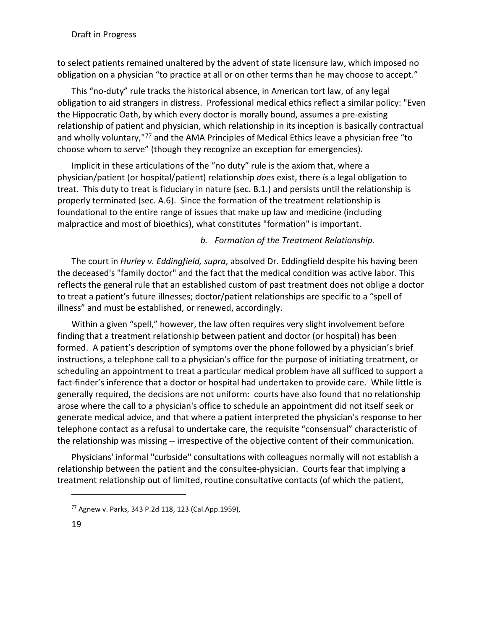to select patients remained unaltered by the advent of state licensure law, which imposed no obligation on a physician "to practice at all or on other terms than he may choose to accept."

This "no-duty" rule tracks the historical absence, in American tort law, of any legal obligation to aid strangers in distress. Professional medical ethics reflect a similar policy: "Even the Hippocratic Oath, by which every doctor is morally bound, assumes a pre-existing relationship of patient and physician, which relationship in its inception is basically contractual and wholly voluntary,"<sup>[77](#page-19-0)</sup> and the AMA Principles of Medical Ethics leave a physician free "to choose whom to serve" (though they recognize an exception for emergencies).

Implicit in these articulations of the "no duty" rule is the axiom that, where a physician/patient (or hospital/patient) relationship *does* exist, there *is* a legal obligation to treat. This duty to treat is fiduciary in nature (sec. B.1.) and persists until the relationship is properly terminated (sec. A.6). Since the formation of the treatment relationship is foundational to the entire range of issues that make up law and medicine (including malpractice and most of bioethics), what constitutes "formation" is important.

*b. Formation of the Treatment Relationship.* 

The court in *Hurley v. Eddingfield, supra*, absolved Dr. Eddingfield despite his having been the deceased's "family doctor" and the fact that the medical condition was active labor. This reflects the general rule that an established custom of past treatment does not oblige a doctor to treat a patient's future illnesses; doctor/patient relationships are specific to a "spell of illness" and must be established, or renewed, accordingly.

Within a given "spell," however, the law often requires very slight involvement before finding that a treatment relationship between patient and doctor (or hospital) has been formed. A patient's description of symptoms over the phone followed by a physician's brief instructions, a telephone call to a physician's office for the purpose of initiating treatment, or scheduling an appointment to treat a particular medical problem have all sufficed to support a fact-finder's inference that a doctor or hospital had undertaken to provide care. While little is generally required, the decisions are not uniform: courts have also found that no relationship arose where the call to a physician's office to schedule an appointment did not itself seek or generate medical advice, and that where a patient interpreted the physician's response to her telephone contact as a refusal to undertake care, the requisite "consensual" characteristic of the relationship was missing -- irrespective of the objective content of their communication.

Physicians' informal "curbside" consultations with colleagues normally will not establish a relationship between the patient and the consultee-physician. Courts fear that implying a treatment relationship out of limited, routine consultative contacts (of which the patient,

<span id="page-19-0"></span><sup>77</sup> Agnew v. Parks, 343 P.2d 118, 123 (Cal.App.1959),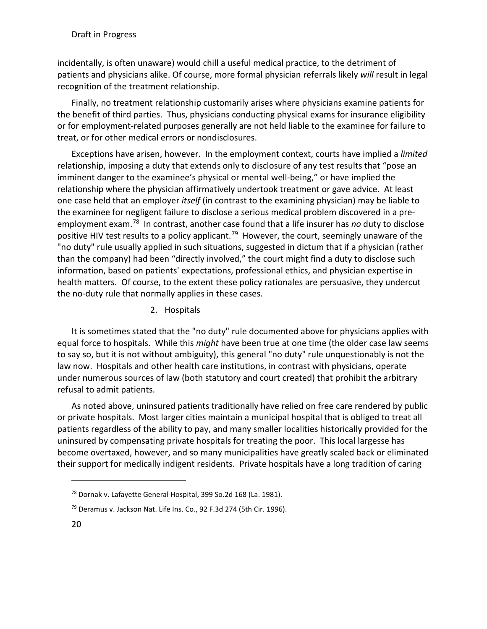incidentally, is often unaware) would chill a useful medical practice, to the detriment of patients and physicians alike. Of course, more formal physician referrals likely *will* result in legal recognition of the treatment relationship.

Finally, no treatment relationship customarily arises where physicians examine patients for the benefit of third parties. Thus, physicians conducting physical exams for insurance eligibility or for employment-related purposes generally are not held liable to the examinee for failure to treat, or for other medical errors or nondisclosures.

Exceptions have arisen, however. In the employment context, courts have implied a *limited*  relationship, imposing a duty that extends only to disclosure of any test results that "pose an imminent danger to the examinee's physical or mental well-being," or have implied the relationship where the physician affirmatively undertook treatment or gave advice. At least one case held that an employer *itself* (in contrast to the examining physician) may be liable to the examinee for negligent failure to disclose a serious medical problem discovered in a preemployment exam.[78](#page-20-0) In contrast, another case found that a life insurer has *no* duty to disclose positive HIV test results to a policy applicant.<sup>[79](#page-20-1)</sup> However, the court, seemingly unaware of the "no duty" rule usually applied in such situations, suggested in dictum that if a physician (rather than the company) had been "directly involved," the court might find a duty to disclose such information, based on patients' expectations, professional ethics, and physician expertise in health matters. Of course, to the extent these policy rationales are persuasive, they undercut the no-duty rule that normally applies in these cases.

2. Hospitals

It is sometimes stated that the "no duty" rule documented above for physicians applies with equal force to hospitals. While this *might* have been true at one time (the older case law seems to say so, but it is not without ambiguity), this general "no duty" rule unquestionably is not the law now. Hospitals and other health care institutions, in contrast with physicians, operate under numerous sources of law (both statutory and court created) that prohibit the arbitrary refusal to admit patients.

As noted above, uninsured patients traditionally have relied on free care rendered by public or private hospitals. Most larger cities maintain a municipal hospital that is obliged to treat all patients regardless of the ability to pay, and many smaller localities historically provided for the uninsured by compensating private hospitals for treating the poor. This local largesse has become overtaxed, however, and so many municipalities have greatly scaled back or eliminated their support for medically indigent residents. Private hospitals have a long tradition of caring

<span id="page-20-0"></span><sup>78</sup> Dornak v. Lafayette General Hospital, 399 So.2d 168 (La. 1981).

<span id="page-20-1"></span> $79$  Deramus v. Jackson Nat. Life Ins. Co., 92 F.3d 274 (5th Cir. 1996).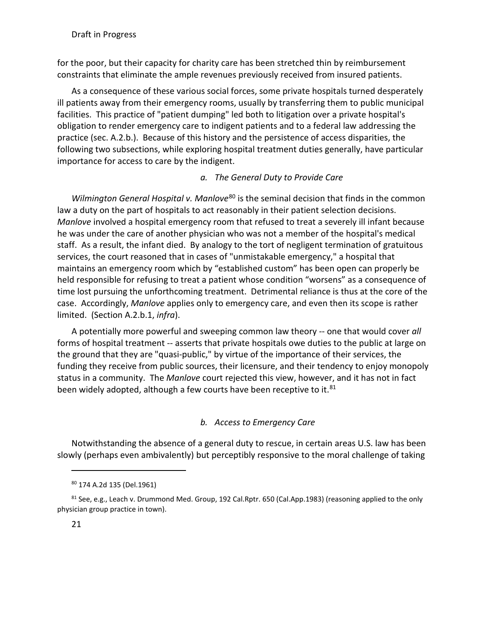for the poor, but their capacity for charity care has been stretched thin by reimbursement constraints that eliminate the ample revenues previously received from insured patients.

As a consequence of these various social forces, some private hospitals turned desperately ill patients away from their emergency rooms, usually by transferring them to public municipal facilities. This practice of "patient dumping" led both to litigation over a private hospital's obligation to render emergency care to indigent patients and to a federal law addressing the practice (sec. A.2.b.). Because of this history and the persistence of access disparities, the following two subsections, while exploring hospital treatment duties generally, have particular importance for access to care by the indigent.

## *a. The General Duty to Provide Care*

*Wilmington General Hospital v. Manlove*<sup>[80](#page-21-0)</sup> is the seminal decision that finds in the common law a duty on the part of hospitals to act reasonably in their patient selection decisions. *Manlove* involved a hospital emergency room that refused to treat a severely ill infant because he was under the care of another physician who was not a member of the hospital's medical staff. As a result, the infant died. By analogy to the tort of negligent termination of gratuitous services, the court reasoned that in cases of "unmistakable emergency," a hospital that maintains an emergency room which by "established custom" has been open can properly be held responsible for refusing to treat a patient whose condition "worsens" as a consequence of time lost pursuing the unforthcoming treatment. Detrimental reliance is thus at the core of the case. Accordingly, *Manlove* applies only to emergency care, and even then its scope is rather limited. (Section A.2.b.1, *infra*).

A potentially more powerful and sweeping common law theory -- one that would cover *all* forms of hospital treatment -- asserts that private hospitals owe duties to the public at large on the ground that they are "quasi-public," by virtue of the importance of their services, the funding they receive from public sources, their licensure, and their tendency to enjoy monopoly status in a community. The *Manlove* court rejected this view, however, and it has not in fact been widely adopted, although a few courts have been receptive to it.<sup>81</sup>

#### *b. Access to Emergency Care*

Notwithstanding the absence of a general duty to rescue, in certain areas U.S. law has been slowly (perhaps even ambivalently) but perceptibly responsive to the moral challenge of taking

<sup>80</sup> 174 A.2d 135 (Del.1961)

<span id="page-21-1"></span><span id="page-21-0"></span> $81$  See, e.g., Leach v. Drummond Med. Group, 192 Cal.Rptr. 650 (Cal.App.1983) (reasoning applied to the only physician group practice in town).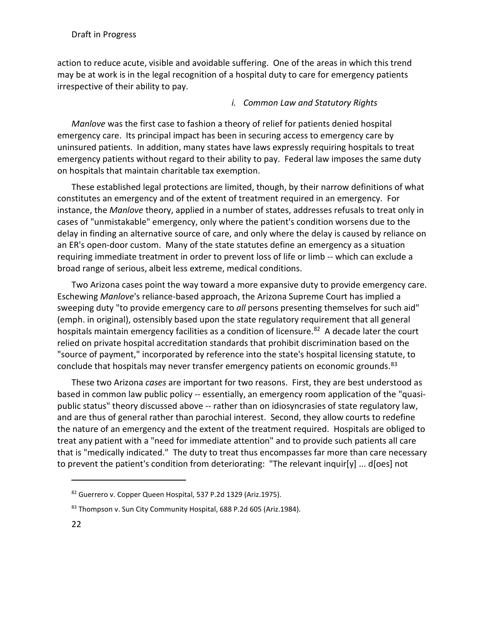action to reduce acute, visible and avoidable suffering. One of the areas in which this trend may be at work is in the legal recognition of a hospital duty to care for emergency patients irrespective of their ability to pay.

#### *i. Common Law and Statutory Rights*

*Manlove* was the first case to fashion a theory of relief for patients denied hospital emergency care. Its principal impact has been in securing access to emergency care by uninsured patients. In addition, many states have laws expressly requiring hospitals to treat emergency patients without regard to their ability to pay. Federal law imposes the same duty on hospitals that maintain charitable tax exemption.

These established legal protections are limited, though, by their narrow definitions of what constitutes an emergency and of the extent of treatment required in an emergency. For instance, the *Manlove* theory, applied in a number of states, addresses refusals to treat only in cases of "unmistakable" emergency, only where the patient's condition worsens due to the delay in finding an alternative source of care, and only where the delay is caused by reliance on an ER's open-door custom. Many of the state statutes define an emergency as a situation requiring immediate treatment in order to prevent loss of life or limb -- which can exclude a broad range of serious, albeit less extreme, medical conditions.

Two Arizona cases point the way toward a more expansive duty to provide emergency care. Eschewing *Manlove*'s reliance-based approach, the Arizona Supreme Court has implied a sweeping duty "to provide emergency care to *all* persons presenting themselves for such aid" (emph. in original), ostensibly based upon the state regulatory requirement that all general hospitals maintain emergency facilities as a condition of licensure.<sup>82</sup> A decade later the court relied on private hospital accreditation standards that prohibit discrimination based on the "source of payment," incorporated by reference into the state's hospital licensing statute, to conclude that hospitals may never transfer emergency patients on economic grounds.<sup>83</sup>

These two Arizona *cases* are important for two reasons. First, they are best understood as based in common law public policy -- essentially, an emergency room application of the "quasipublic status" theory discussed above -- rather than on idiosyncrasies of state regulatory law, and are thus of general rather than parochial interest. Second, they allow courts to redefine the nature of an emergency and the extent of the treatment required. Hospitals are obliged to treat any patient with a "need for immediate attention" and to provide such patients all care that is "medically indicated." The duty to treat thus encompasses far more than care necessary to prevent the patient's condition from deteriorating: "The relevant inquir[y] ... d[oes] not

<span id="page-22-0"></span><sup>82</sup> Guerrero v. Copper Queen Hospital, 537 P.2d 1329 (Ariz.1975).

<span id="page-22-1"></span><sup>83</sup> Thompson v. Sun City Community Hospital, 688 P.2d 605 (Ariz.1984).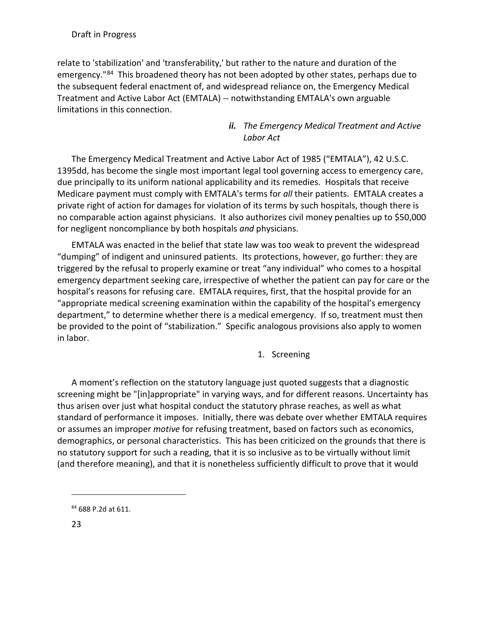relate to 'stabilization' and 'transferability,' but rather to the nature and duration of the emergency."<sup>84</sup> This broadened theory has not been adopted by other states, perhaps due to the subsequent federal enactment of, and widespread reliance on, the Emergency Medical Treatment and Active Labor Act (EMTALA) -- notwithstanding EMTALA's own arguable limitations in this connection.

# *ii. The Emergency Medical Treatment and Active Labor Act*

The Emergency Medical Treatment and Active Labor Act of 1985 ("EMTALA"), 42 U.S.C. 1395dd, has become the single most important legal tool governing access to emergency care, due principally to its uniform national applicability and its remedies. Hospitals that receive Medicare payment must comply with EMTALA's terms for *all* their patients. EMTALA creates a private right of action for damages for violation of its terms by such hospitals, though there is no comparable action against physicians. It also authorizes civil money penalties up to \$50,000 for negligent noncompliance by both hospitals *and* physicians.

EMTALA was enacted in the belief that state law was too weak to prevent the widespread "dumping" of indigent and uninsured patients. Its protections, however, go further: they are triggered by the refusal to properly examine or treat "any individual" who comes to a hospital emergency department seeking care, irrespective of whether the patient can pay for care or the hospital's reasons for refusing care. EMTALA requires, first, that the hospital provide for an "appropriate medical screening examination within the capability of the hospital's emergency department," to determine whether there is a medical emergency. If so, treatment must then be provided to the point of "stabilization." Specific analogous provisions also apply to women in labor.

1. Screening

A moment's reflection on the statutory language just quoted suggests that a diagnostic screening might be "[in]appropriate" in varying ways, and for different reasons. Uncertainty has thus arisen over just what hospital conduct the statutory phrase reaches, as well as what standard of performance it imposes. Initially, there was debate over whether EMTALA requires or assumes an improper *motive* for refusing treatment, based on factors such as economics, demographics, or personal characteristics. This has been criticized on the grounds that there is no statutory support for such a reading, that it is so inclusive as to be virtually without limit (and therefore meaning), and that it is nonetheless sufficiently difficult to prove that it would

<span id="page-23-0"></span><sup>84</sup> 688 P.2d at 611.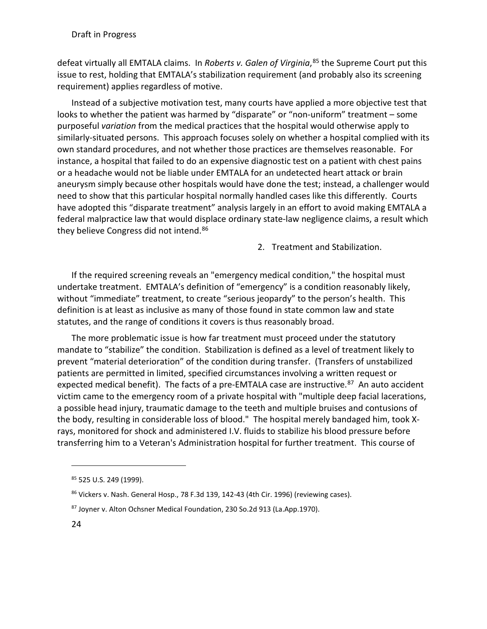defeat virtually all EMTALA claims. In *Roberts v. Galen of Virginia*, [85](#page-24-0) the Supreme Court put this issue to rest, holding that EMTALA's stabilization requirement (and probably also its screening requirement) applies regardless of motive.

Instead of a subjective motivation test, many courts have applied a more objective test that looks to whether the patient was harmed by "disparate" or "non-uniform" treatment – some purposeful *variation* from the medical practices that the hospital would otherwise apply to similarly-situated persons. This approach focuses solely on whether a hospital complied with its own standard procedures, and not whether those practices are themselves reasonable. For instance, a hospital that failed to do an expensive diagnostic test on a patient with chest pains or a headache would not be liable under EMTALA for an undetected heart attack or brain aneurysm simply because other hospitals would have done the test; instead, a challenger would need to show that this particular hospital normally handled cases like this differently. Courts have adopted this "disparate treatment" analysis largely in an effort to avoid making EMTALA a federal malpractice law that would displace ordinary state-law negligence claims, a result which they believe Congress did not intend.<sup>[86](#page-24-1)</sup>

2. Treatment and Stabilization.

If the required screening reveals an "emergency medical condition," the hospital must undertake treatment. EMTALA's definition of "emergency" is a condition reasonably likely, without "immediate" treatment, to create "serious jeopardy" to the person's health. This definition is at least as inclusive as many of those found in state common law and state statutes, and the range of conditions it covers is thus reasonably broad.

The more problematic issue is how far treatment must proceed under the statutory mandate to "stabilize" the condition. Stabilization is defined as a level of treatment likely to prevent "material deterioration" of the condition during transfer. (Transfers of unstabilized patients are permitted in limited, specified circumstances involving a written request or expected medical benefit). The facts of a pre-EMTALA case are instructive.<sup>[87](#page-24-2)</sup> An auto accident victim came to the emergency room of a private hospital with "multiple deep facial lacerations, a possible head injury, traumatic damage to the teeth and multiple bruises and contusions of the body, resulting in considerable loss of blood." The hospital merely bandaged him, took Xrays, monitored for shock and administered I.V. fluids to stabilize his blood pressure before transferring him to a Veteran's Administration hospital for further treatment. This course of

<span id="page-24-0"></span><sup>85</sup> 525 U.S. 249 (1999).

<span id="page-24-1"></span><sup>&</sup>lt;sup>86</sup> Vickers v. Nash. General Hosp., 78 F.3d 139, 142-43 (4th Cir. 1996) (reviewing cases).

<span id="page-24-2"></span><sup>87</sup> Joyner v. Alton Ochsner Medical Foundation, 230 So.2d 913 (La.App.1970).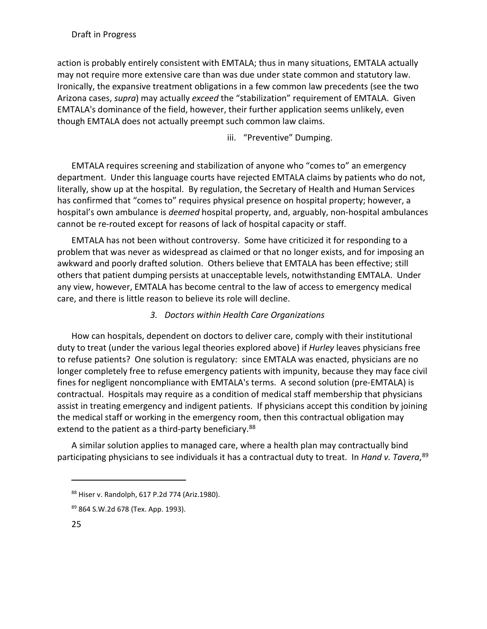action is probably entirely consistent with EMTALA; thus in many situations, EMTALA actually may not require more extensive care than was due under state common and statutory law. Ironically, the expansive treatment obligations in a few common law precedents (see the two Arizona cases, *supra*) may actually *exceed* the "stabilization" requirement of EMTALA. Given EMTALA's dominance of the field, however, their further application seems unlikely, even though EMTALA does not actually preempt such common law claims.

iii. "Preventive" Dumping.

EMTALA requires screening and stabilization of anyone who "comes to" an emergency department. Under this language courts have rejected EMTALA claims by patients who do not, literally, show up at the hospital. By regulation, the Secretary of Health and Human Services has confirmed that "comes to" requires physical presence on hospital property; however, a hospital's own ambulance is *deemed* hospital property, and, arguably, non-hospital ambulances cannot be re-routed except for reasons of lack of hospital capacity or staff.

EMTALA has not been without controversy. Some have criticized it for responding to a problem that was never as widespread as claimed or that no longer exists, and for imposing an awkward and poorly drafted solution. Others believe that EMTALA has been effective; still others that patient dumping persists at unacceptable levels, notwithstanding EMTALA. Under any view, however, EMTALA has become central to the law of access to emergency medical care, and there is little reason to believe its role will decline.

# *3. Doctors within Health Care Organizations*

How can hospitals, dependent on doctors to deliver care, comply with their institutional duty to treat (under the various legal theories explored above) if *Hurley* leaves physicians free to refuse patients? One solution is regulatory: since EMTALA was enacted, physicians are no longer completely free to refuse emergency patients with impunity, because they may face civil fines for negligent noncompliance with EMTALA's terms. A second solution (pre-EMTALA) is contractual. Hospitals may require as a condition of medical staff membership that physicians assist in treating emergency and indigent patients. If physicians accept this condition by joining the medical staff or working in the emergency room, then this contractual obligation may extend to the patient as a third-party beneficiary.<sup>[88](#page-25-0)</sup>

A similar solution applies to managed care, where a health plan may contractually bind participating physicians to see individuals it has a contractual duty to treat. In *Hand v. Tavera*, [89](#page-25-1)

<span id="page-25-0"></span><sup>88</sup> Hiser v. Randolph, 617 P.2d 774 (Ariz.1980).

<span id="page-25-1"></span><sup>89 864</sup> S.W.2d 678 (Tex. App. 1993).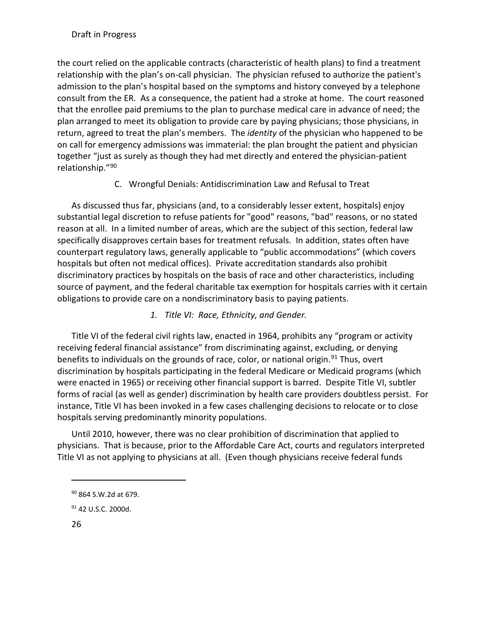the court relied on the applicable contracts (characteristic of health plans) to find a treatment relationship with the plan's on-call physician. The physician refused to authorize the patient's admission to the plan's hospital based on the symptoms and history conveyed by a telephone consult from the ER. As a consequence, the patient had a stroke at home. The court reasoned that the enrollee paid premiums to the plan to purchase medical care in advance of need; the plan arranged to meet its obligation to provide care by paying physicians; those physicians, in return, agreed to treat the plan's members. The *identity* of the physician who happened to be on call for emergency admissions was immaterial: the plan brought the patient and physician together "just as surely as though they had met directly and entered the physician-patient relationship."[90](#page-26-0) 

## C. Wrongful Denials: Antidiscrimination Law and Refusal to Treat

As discussed thus far, physicians (and, to a considerably lesser extent, hospitals) enjoy substantial legal discretion to refuse patients for "good" reasons, "bad" reasons, or no stated reason at all. In a limited number of areas, which are the subject of this section, federal law specifically disapproves certain bases for treatment refusals. In addition, states often have counterpart regulatory laws, generally applicable to "public accommodations" (which covers hospitals but often not medical offices). Private accreditation standards also prohibit discriminatory practices by hospitals on the basis of race and other characteristics, including source of payment, and the federal charitable tax exemption for hospitals carries with it certain obligations to provide care on a nondiscriminatory basis to paying patients.

## *1. Title VI: Race, Ethnicity, and Gender.*

Title VI of the federal civil rights law, enacted in 1964, prohibits any "program or activity receiving federal financial assistance" from discriminating against, excluding, or denying benefits to individuals on the grounds of race, color, or national origin.<sup>[91](#page-26-1)</sup> Thus, overt discrimination by hospitals participating in the federal Medicare or Medicaid programs (which were enacted in 1965) or receiving other financial support is barred. Despite Title VI, subtler forms of racial (as well as gender) discrimination by health care providers doubtless persist. For instance, Title VI has been invoked in a few cases challenging decisions to relocate or to close hospitals serving predominantly minority populations.

Until 2010, however, there was no clear prohibition of discrimination that applied to physicians. That is because, prior to the Affordable Care Act, courts and regulators interpreted Title VI as not applying to physicians at all. (Even though physicians receive federal funds

#### 26

<span id="page-26-0"></span><sup>90</sup> 864 S.W.2d at 679.

<span id="page-26-1"></span><sup>&</sup>lt;sup>91</sup> 42 U.S.C. 2000d.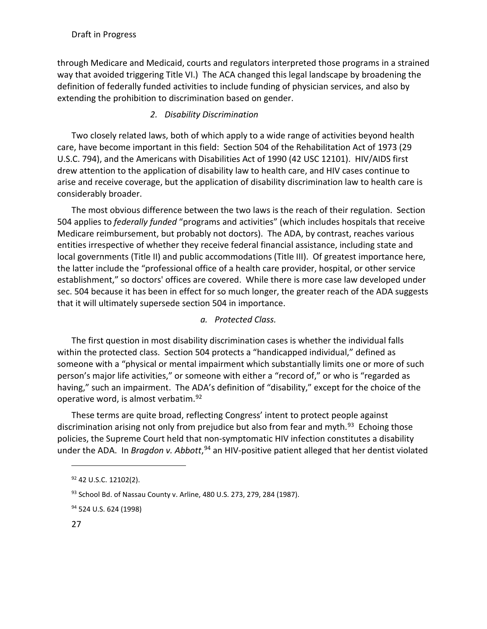through Medicare and Medicaid, courts and regulators interpreted those programs in a strained way that avoided triggering Title VI.) The ACA changed this legal landscape by broadening the definition of federally funded activities to include funding of physician services, and also by extending the prohibition to discrimination based on gender.

# *2. Disability Discrimination*

Two closely related laws, both of which apply to a wide range of activities beyond health care, have become important in this field: Section 504 of the Rehabilitation Act of 1973 (29 U.S.C. 794), and the Americans with Disabilities Act of 1990 (42 USC 12101). HIV/AIDS first drew attention to the application of disability law to health care, and HIV cases continue to arise and receive coverage, but the application of disability discrimination law to health care is considerably broader.

The most obvious difference between the two laws is the reach of their regulation. Section 504 applies to *federally funded* "programs and activities" (which includes hospitals that receive Medicare reimbursement, but probably not doctors). The ADA, by contrast, reaches various entities irrespective of whether they receive federal financial assistance, including state and local governments (Title II) and public accommodations (Title III). Of greatest importance here, the latter include the "professional office of a health care provider, hospital, or other service establishment," so doctors' offices are covered. While there is more case law developed under sec. 504 because it has been in effect for so much longer, the greater reach of the ADA suggests that it will ultimately supersede section 504 in importance.

# *a. Protected Class.*

The first question in most disability discrimination cases is whether the individual falls within the protected class. Section 504 protects a "handicapped individual," defined as someone with a "physical or mental impairment which substantially limits one or more of such person's major life activities," or someone with either a "record of," or who is "regarded as having," such an impairment. The ADA's definition of "disability," except for the choice of the operative word, is almost verbatim.[92](#page-27-0)

These terms are quite broad, reflecting Congress' intent to protect people against discrimination arising not only from prejudice but also from fear and myth. $93$  Echoing those policies, the Supreme Court held that non-symptomatic HIV infection constitutes a disability under the ADA. In *Bragdon v. Abbott*,<sup>[94](#page-27-2)</sup> an HIV-positive patient alleged that her dentist violated

<span id="page-27-0"></span><sup>92</sup> 42 U.S.C. 12102(2).

<span id="page-27-1"></span><sup>93</sup> School Bd. of Nassau County v. Arline, 480 U.S. 273, 279, 284 (1987).

<span id="page-27-2"></span><sup>&</sup>lt;sup>94</sup> 524 U.S. 624 (1998)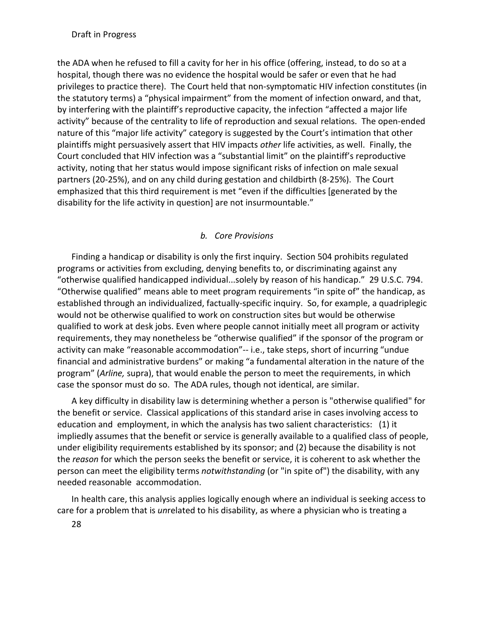the ADA when he refused to fill a cavity for her in his office (offering, instead, to do so at a hospital, though there was no evidence the hospital would be safer or even that he had privileges to practice there). The Court held that non-symptomatic HIV infection constitutes (in the statutory terms) a "physical impairment" from the moment of infection onward, and that, by interfering with the plaintiff's reproductive capacity, the infection "affected a major life activity" because of the centrality to life of reproduction and sexual relations. The open-ended nature of this "major life activity" category is suggested by the Court's intimation that other plaintiffs might persuasively assert that HIV impacts *other* life activities, as well. Finally, the Court concluded that HIV infection was a "substantial limit" on the plaintiff's reproductive activity, noting that her status would impose significant risks of infection on male sexual partners (20-25%), and on any child during gestation and childbirth (8-25%). The Court emphasized that this third requirement is met "even if the difficulties [generated by the disability for the life activity in question] are not insurmountable."

## *b. Core Provisions*

Finding a handicap or disability is only the first inquiry. Section 504 prohibits regulated programs or activities from excluding, denying benefits to, or discriminating against any "otherwise qualified handicapped individual...solely by reason of his handicap." 29 U.S.C. 794. "Otherwise qualified" means able to meet program requirements "in spite of" the handicap, as established through an individualized, factually-specific inquiry. So, for example, a quadriplegic would not be otherwise qualified to work on construction sites but would be otherwise qualified to work at desk jobs. Even where people cannot initially meet all program or activity requirements, they may nonetheless be "otherwise qualified" if the sponsor of the program or activity can make "reasonable accommodation"-- i.e., take steps, short of incurring "undue financial and administrative burdens" or making "a fundamental alteration in the nature of the program" (*Arline,* supra), that would enable the person to meet the requirements, in which case the sponsor must do so. The ADA rules, though not identical, are similar.

A key difficulty in disability law is determining whether a person is "otherwise qualified" for the benefit or service. Classical applications of this standard arise in cases involving access to education and employment, in which the analysis has two salient characteristics: (1) it impliedly assumes that the benefit or service is generally available to a qualified class of people, under eligibility requirements established by its sponsor; and (2) because the disability is not the *reason* for which the person seeks the benefit or service, it is coherent to ask whether the person can meet the eligibility terms *notwithstanding* (or "in spite of") the disability, with any needed reasonable accommodation.

In health care, this analysis applies logically enough where an individual is seeking access to care for a problem that is *un*related to his disability, as where a physician who is treating a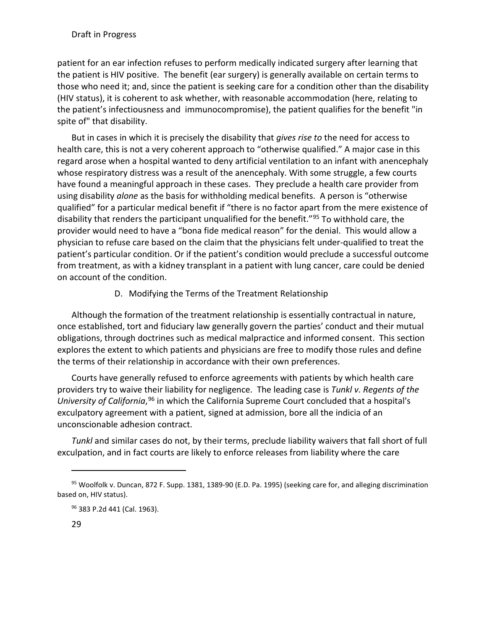patient for an ear infection refuses to perform medically indicated surgery after learning that the patient is HIV positive. The benefit (ear surgery) is generally available on certain terms to those who need it; and, since the patient is seeking care for a condition other than the disability (HIV status), it is coherent to ask whether, with reasonable accommodation (here, relating to the patient's infectiousness and immunocompromise), the patient qualifies for the benefit "in spite of" that disability.

But in cases in which it is precisely the disability that *gives rise to* the need for access to health care, this is not a very coherent approach to "otherwise qualified." A major case in this regard arose when a hospital wanted to deny artificial ventilation to an infant with anencephaly whose respiratory distress was a result of the anencephaly. With some struggle, a few courts have found a meaningful approach in these cases. They preclude a health care provider from using disability *alone* as the basis for withholding medical benefits. A person is "otherwise qualified" for a particular medical benefit if "there is no factor apart from the mere existence of disability that renders the participant unqualified for the benefit."[95](#page-29-0) To withhold care, the provider would need to have a "bona fide medical reason" for the denial. This would allow a physician to refuse care based on the claim that the physicians felt under-qualified to treat the patient's particular condition. Or if the patient's condition would preclude a successful outcome from treatment, as with a kidney transplant in a patient with lung cancer, care could be denied on account of the condition.

D. Modifying the Terms of the Treatment Relationship

Although the formation of the treatment relationship is essentially contractual in nature, once established, tort and fiduciary law generally govern the parties' conduct and their mutual obligations, through doctrines such as medical malpractice and informed consent. This section explores the extent to which patients and physicians are free to modify those rules and define the terms of their relationship in accordance with their own preferences.

Courts have generally refused to enforce agreements with patients by which health care providers try to waive their liability for negligence. The leading case is *Tunkl v. Regents of the*  University of California, <sup>[96](#page-29-1)</sup> in which the California Supreme Court concluded that a hospital's exculpatory agreement with a patient, signed at admission, bore all the indicia of an unconscionable adhesion contract.

*Tunkl* and similar cases do not, by their terms, preclude liability waivers that fall short of full exculpation, and in fact courts are likely to enforce releases from liability where the care

<span id="page-29-1"></span><span id="page-29-0"></span><sup>&</sup>lt;sup>95</sup> Woolfolk v. Duncan, 872 F. Supp. 1381, 1389-90 (E.D. Pa. 1995) (seeking care for, and alleging discrimination based on, HIV status).

<sup>96 383</sup> P.2d 441 (Cal. 1963).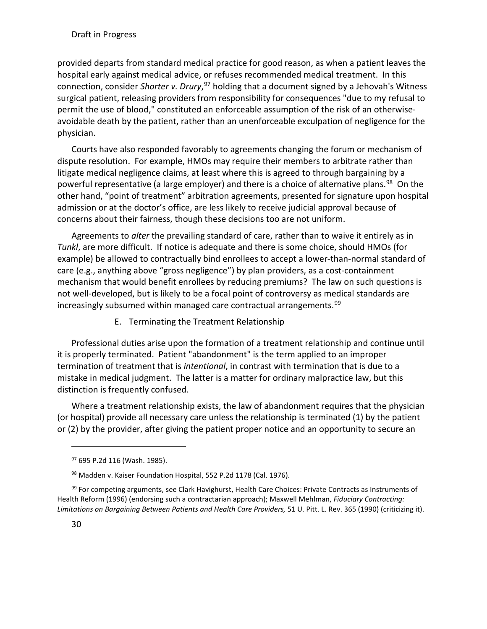provided departs from standard medical practice for good reason, as when a patient leaves the hospital early against medical advice, or refuses recommended medical treatment. In this connection, consider *Shorter v. Drury*, [97](#page-30-0) holding that a document signed by a Jehovah's Witness surgical patient, releasing providers from responsibility for consequences "due to my refusal to permit the use of blood," constituted an enforceable assumption of the risk of an otherwiseavoidable death by the patient, rather than an unenforceable exculpation of negligence for the physician.

Courts have also responded favorably to agreements changing the forum or mechanism of dispute resolution. For example, HMOs may require their members to arbitrate rather than litigate medical negligence claims, at least where this is agreed to through bargaining by a powerful representative (a large employer) and there is a choice of alternative plans.<sup>98</sup> On the other hand, "point of treatment" arbitration agreements, presented for signature upon hospital admission or at the doctor's office, are less likely to receive judicial approval because of concerns about their fairness, though these decisions too are not uniform.

Agreements to *alter* the prevailing standard of care, rather than to waive it entirely as in *Tunkl*, are more difficult. If notice is adequate and there is some choice, should HMOs (for example) be allowed to contractually bind enrollees to accept a lower-than-normal standard of care (e.g., anything above "gross negligence") by plan providers, as a cost-containment mechanism that would benefit enrollees by reducing premiums? The law on such questions is not well-developed, but is likely to be a focal point of controversy as medical standards are increasingly subsumed within managed care contractual arrangements.<sup>99</sup>

E. Terminating the Treatment Relationship

Professional duties arise upon the formation of a treatment relationship and continue until it is properly terminated. Patient "abandonment" is the term applied to an improper termination of treatment that is *intentional*, in contrast with termination that is due to a mistake in medical judgment. The latter is a matter for ordinary malpractice law, but this distinction is frequently confused.

Where a treatment relationship exists, the law of abandonment requires that the physician (or hospital) provide all necessary care unless the relationship is terminated (1) by the patient or (2) by the provider, after giving the patient proper notice and an opportunity to secure an

<sup>97 695</sup> P.2d 116 (Wash. 1985).

<sup>98</sup> Madden v. Kaiser Foundation Hospital, 552 P.2d 1178 (Cal. 1976).

<span id="page-30-2"></span><span id="page-30-1"></span><span id="page-30-0"></span><sup>99</sup> For competing arguments, see Clark Havighurst, Health Care Choices: Private Contracts as Instruments of Health Reform (1996) (endorsing such a contractarian approach); Maxwell Mehlman, *Fiduciary Contracting: Limitations on Bargaining Between Patients and Health Care Providers,* 51 U. Pitt. L. Rev. 365 (1990) (criticizing it).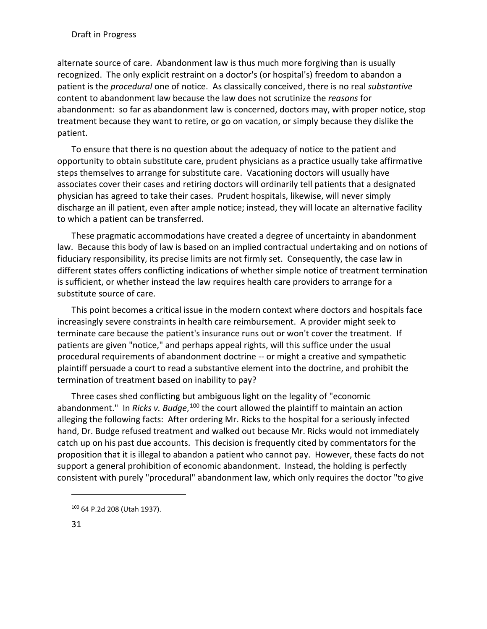alternate source of care. Abandonment law is thus much more forgiving than is usually recognized. The only explicit restraint on a doctor's (or hospital's) freedom to abandon a patient is the *procedural* one of notice. As classically conceived, there is no real *substantive* content to abandonment law because the law does not scrutinize the *reasons* for abandonment: so far as abandonment law is concerned, doctors may, with proper notice, stop treatment because they want to retire, or go on vacation, or simply because they dislike the patient.

To ensure that there is no question about the adequacy of notice to the patient and opportunity to obtain substitute care, prudent physicians as a practice usually take affirmative steps themselves to arrange for substitute care. Vacationing doctors will usually have associates cover their cases and retiring doctors will ordinarily tell patients that a designated physician has agreed to take their cases. Prudent hospitals, likewise, will never simply discharge an ill patient, even after ample notice; instead, they will locate an alternative facility to which a patient can be transferred.

These pragmatic accommodations have created a degree of uncertainty in abandonment law. Because this body of law is based on an implied contractual undertaking and on notions of fiduciary responsibility, its precise limits are not firmly set. Consequently, the case law in different states offers conflicting indications of whether simple notice of treatment termination is sufficient, or whether instead the law requires health care providers to arrange for a substitute source of care.

This point becomes a critical issue in the modern context where doctors and hospitals face increasingly severe constraints in health care reimbursement. A provider might seek to terminate care because the patient's insurance runs out or won't cover the treatment. If patients are given "notice," and perhaps appeal rights, will this suffice under the usual procedural requirements of abandonment doctrine -- or might a creative and sympathetic plaintiff persuade a court to read a substantive element into the doctrine, and prohibit the termination of treatment based on inability to pay?

Three cases shed conflicting but ambiguous light on the legality of "economic abandonment." In *Ricks v. Budge*,<sup>[100](#page-31-0)</sup> the court allowed the plaintiff to maintain an action alleging the following facts: After ordering Mr. Ricks to the hospital for a seriously infected hand, Dr. Budge refused treatment and walked out because Mr. Ricks would not immediately catch up on his past due accounts. This decision is frequently cited by commentators for the proposition that it is illegal to abandon a patient who cannot pay. However, these facts do not support a general prohibition of economic abandonment. Instead, the holding is perfectly consistent with purely "procedural" abandonment law, which only requires the doctor "to give

<span id="page-31-0"></span><sup>100</sup> 64 P.2d 208 (Utah 1937).